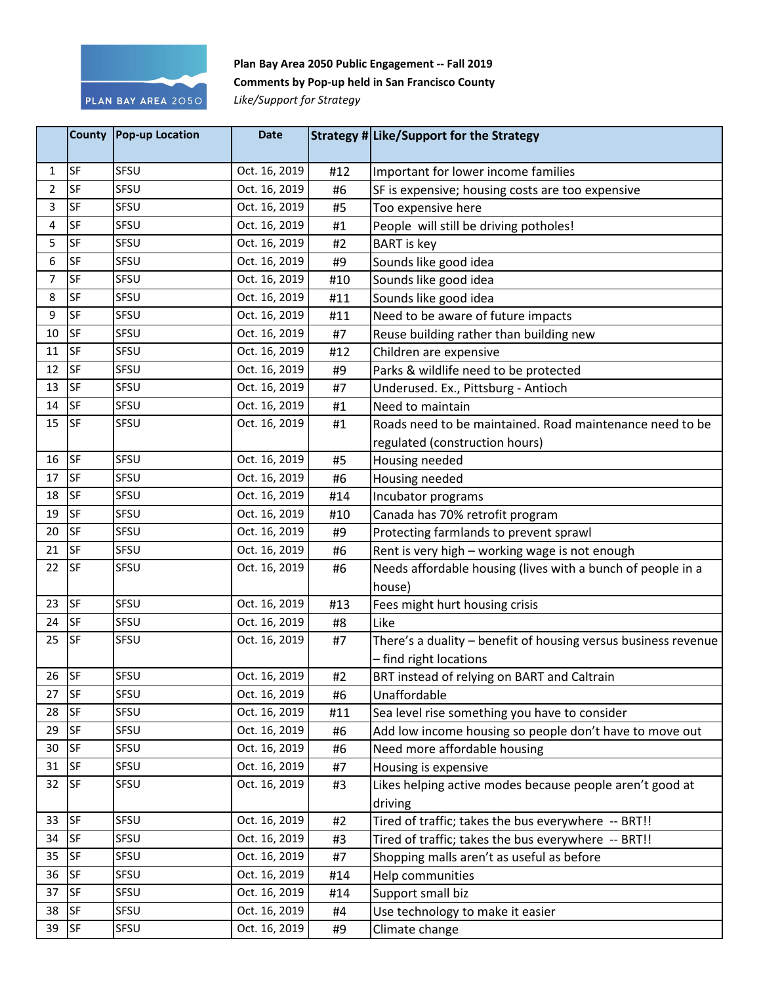

## **Plan Bay Area 2050 Public Engagement -- Fall 2019 Comments by Pop-up held in San Francisco County**

*Like/Support for Strategy*

|              |           | County Pop-up Location | <b>Date</b>   |     | Strategy # Like/Support for the Strategy                       |
|--------------|-----------|------------------------|---------------|-----|----------------------------------------------------------------|
| $\mathbf{1}$ | SF        | SFSU                   | Oct. 16, 2019 | #12 | Important for lower income families                            |
| 2            | SF        | SFSU                   | Oct. 16, 2019 | #6  | SF is expensive; housing costs are too expensive               |
| 3            | SF        | SFSU                   | Oct. 16, 2019 | #5  | Too expensive here                                             |
| 4            | SF        | SFSU                   | Oct. 16, 2019 | #1  | People will still be driving potholes!                         |
| 5            | SF        | SFSU                   | Oct. 16, 2019 | #2  | <b>BART</b> is key                                             |
| 6            | SF        | SFSU                   | Oct. 16, 2019 | #9  | Sounds like good idea                                          |
| 7            | SF        | SFSU                   | Oct. 16, 2019 | #10 | Sounds like good idea                                          |
| 8            | SF        | SFSU                   | Oct. 16, 2019 | #11 | Sounds like good idea                                          |
| 9            | <b>SF</b> | SFSU                   | Oct. 16, 2019 | #11 | Need to be aware of future impacts                             |
| 10           | SF        | SFSU                   | Oct. 16, 2019 | #7  | Reuse building rather than building new                        |
| 11           | SF        | SFSU                   | Oct. 16, 2019 | #12 | Children are expensive                                         |
| 12           | <b>SF</b> | SFSU                   | Oct. 16, 2019 | #9  | Parks & wildlife need to be protected                          |
| 13           | SF        | SFSU                   | Oct. 16, 2019 | #7  | Underused. Ex., Pittsburg - Antioch                            |
| 14           | <b>SF</b> | SFSU                   | Oct. 16, 2019 | #1  | Need to maintain                                               |
| 15           | <b>SF</b> | SFSU                   | Oct. 16, 2019 | #1  | Roads need to be maintained. Road maintenance need to be       |
|              |           |                        |               |     | regulated (construction hours)                                 |
| 16           | <b>SF</b> | SFSU                   | Oct. 16, 2019 | #5  | Housing needed                                                 |
| 17           | <b>SF</b> | SFSU                   | Oct. 16, 2019 | #6  | Housing needed                                                 |
| 18           | <b>SF</b> | SFSU                   | Oct. 16, 2019 | #14 | Incubator programs                                             |
| 19           | <b>SF</b> | SFSU                   | Oct. 16, 2019 | #10 | Canada has 70% retrofit program                                |
| 20           | <b>SF</b> | SFSU                   | Oct. 16, 2019 | #9  | Protecting farmlands to prevent sprawl                         |
| 21           | SF        | SFSU                   | Oct. 16, 2019 | #6  | Rent is very high - working wage is not enough                 |
| 22           | <b>SF</b> | SFSU                   | Oct. 16, 2019 | #6  | Needs affordable housing (lives with a bunch of people in a    |
|              |           |                        |               |     | house)                                                         |
| 23           | SF        | SFSU                   | Oct. 16, 2019 | #13 | Fees might hurt housing crisis                                 |
| 24           | <b>SF</b> | SFSU                   | Oct. 16, 2019 | #8  | Like                                                           |
| 25           | <b>SF</b> | SFSU                   | Oct. 16, 2019 | #7  | There's a duality - benefit of housing versus business revenue |
|              |           |                        |               |     | - find right locations                                         |
| 26           | <b>SF</b> | SFSU                   | Oct. 16, 2019 | #2  | BRT instead of relying on BART and Caltrain                    |
| 27           | <b>SF</b> | SFSU                   | Oct. 16, 2019 | #6  | Unaffordable                                                   |
| 28           | <b>SF</b> | SFSU                   | Oct. 16, 2019 | #11 | Sea level rise something you have to consider                  |
| 29           | <b>SF</b> | SFSU                   | Oct. 16, 2019 | #6  | Add low income housing so people don't have to move out        |
| 30           | <b>SF</b> | SFSU                   | Oct. 16, 2019 | #6  | Need more affordable housing                                   |
| 31           | <b>SF</b> | SFSU                   | Oct. 16, 2019 | #7  | Housing is expensive                                           |
| 32           | <b>SF</b> | SFSU                   | Oct. 16, 2019 | #3  | Likes helping active modes because people aren't good at       |
|              |           |                        |               |     | driving                                                        |
| 33           | <b>SF</b> | SFSU                   | Oct. 16, 2019 | #2  | Tired of traffic; takes the bus everywhere -- BRT!!            |
| 34           | <b>SF</b> | SFSU                   | Oct. 16, 2019 | #3  | Tired of traffic; takes the bus everywhere -- BRT!!            |
| 35           | <b>SF</b> | SFSU                   | Oct. 16, 2019 | #7  | Shopping malls aren't as useful as before                      |
| 36           | <b>SF</b> | SFSU                   | Oct. 16, 2019 | #14 | Help communities                                               |
| 37           | <b>SF</b> | SFSU                   | Oct. 16, 2019 | #14 | Support small biz                                              |
| 38           | <b>SF</b> | SFSU                   | Oct. 16, 2019 | #4  | Use technology to make it easier                               |
| 39           | <b>SF</b> | SFSU                   | Oct. 16, 2019 | #9  | Climate change                                                 |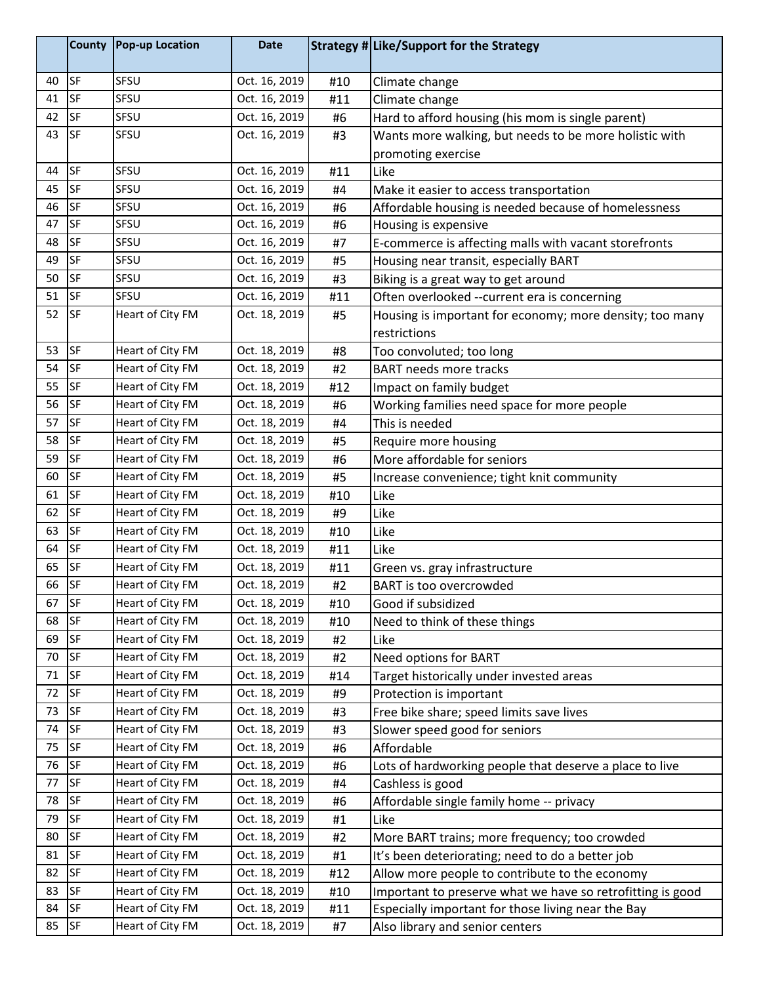|    | <b>County</b> | Pop-up Location  | <b>Date</b>   |     | Strategy # Like/Support for the Strategy                   |
|----|---------------|------------------|---------------|-----|------------------------------------------------------------|
| 40 | <b>SF</b>     | SFSU             | Oct. 16, 2019 | #10 | Climate change                                             |
| 41 | SF            | SFSU             | Oct. 16, 2019 | #11 | Climate change                                             |
| 42 | <b>SF</b>     | SFSU             | Oct. 16, 2019 | #6  | Hard to afford housing (his mom is single parent)          |
| 43 | <b>SF</b>     | SFSU             | Oct. 16, 2019 | #3  | Wants more walking, but needs to be more holistic with     |
|    |               |                  |               |     | promoting exercise                                         |
| 44 | <b>SF</b>     | SFSU             | Oct. 16, 2019 | #11 | Like                                                       |
| 45 | <b>SF</b>     | SFSU             | Oct. 16, 2019 | #4  | Make it easier to access transportation                    |
| 46 | SF            | SFSU             | Oct. 16, 2019 | #6  | Affordable housing is needed because of homelessness       |
| 47 | SF            | SFSU             | Oct. 16, 2019 | #6  | Housing is expensive                                       |
| 48 | SF            | SFSU             | Oct. 16, 2019 | #7  | E-commerce is affecting malls with vacant storefronts      |
| 49 | SF            | SFSU             | Oct. 16, 2019 | #5  | Housing near transit, especially BART                      |
| 50 | SF            | SFSU             | Oct. 16, 2019 | #3  | Biking is a great way to get around                        |
| 51 | SF            | SFSU             | Oct. 16, 2019 | #11 | Often overlooked --current era is concerning               |
| 52 | <b>SF</b>     | Heart of City FM | Oct. 18, 2019 | #5  | Housing is important for economy; more density; too many   |
|    |               |                  |               |     | restrictions                                               |
| 53 | <b>SF</b>     | Heart of City FM | Oct. 18, 2019 | #8  | Too convoluted; too long                                   |
| 54 | <b>SF</b>     | Heart of City FM | Oct. 18, 2019 | #2  | <b>BART needs more tracks</b>                              |
| 55 | <b>SF</b>     | Heart of City FM | Oct. 18, 2019 | #12 | Impact on family budget                                    |
| 56 | <b>SF</b>     | Heart of City FM | Oct. 18, 2019 | #6  | Working families need space for more people                |
| 57 | <b>SF</b>     | Heart of City FM | Oct. 18, 2019 | #4  | This is needed                                             |
| 58 | SF            | Heart of City FM | Oct. 18, 2019 | #5  | Require more housing                                       |
| 59 | <b>SF</b>     | Heart of City FM | Oct. 18, 2019 | #6  | More affordable for seniors                                |
| 60 | SF            | Heart of City FM | Oct. 18, 2019 | #5  | Increase convenience; tight knit community                 |
| 61 | <b>SF</b>     | Heart of City FM | Oct. 18, 2019 | #10 | Like                                                       |
| 62 | <b>SF</b>     | Heart of City FM | Oct. 18, 2019 | #9  | Like                                                       |
| 63 | <b>SF</b>     | Heart of City FM | Oct. 18, 2019 | #10 | Like                                                       |
| 64 | <b>SF</b>     | Heart of City FM | Oct. 18, 2019 | #11 | Like                                                       |
| 65 | <b>SF</b>     | Heart of City FM | Oct. 18, 2019 | #11 | Green vs. gray infrastructure                              |
| 66 | <b>SF</b>     | Heart of City FM | Oct. 18, 2019 | #2  | BART is too overcrowded                                    |
| 67 | SF            | Heart of City FM | Oct. 18, 2019 | #10 | Good if subsidized                                         |
| 68 | <b>SF</b>     | Heart of City FM | Oct. 18, 2019 | #10 | Need to think of these things                              |
| 69 | SF            | Heart of City FM | Oct. 18, 2019 | #2  | Like                                                       |
| 70 | SF            | Heart of City FM | Oct. 18, 2019 | #2  | Need options for BART                                      |
| 71 | <b>SF</b>     | Heart of City FM | Oct. 18, 2019 | #14 | Target historically under invested areas                   |
| 72 | SF            | Heart of City FM | Oct. 18, 2019 | #9  | Protection is important                                    |
| 73 | SF            | Heart of City FM | Oct. 18, 2019 | #3  | Free bike share; speed limits save lives                   |
| 74 | SF            | Heart of City FM | Oct. 18, 2019 | #3  | Slower speed good for seniors                              |
| 75 | SF            | Heart of City FM | Oct. 18, 2019 | #6  | Affordable                                                 |
| 76 | SF            | Heart of City FM | Oct. 18, 2019 | #6  | Lots of hardworking people that deserve a place to live    |
| 77 | SF            | Heart of City FM | Oct. 18, 2019 | #4  | Cashless is good                                           |
| 78 | SF            | Heart of City FM | Oct. 18, 2019 | #6  | Affordable single family home -- privacy                   |
| 79 | SF            | Heart of City FM | Oct. 18, 2019 | #1  | Like                                                       |
| 80 | SF            | Heart of City FM | Oct. 18, 2019 | #2  | More BART trains; more frequency; too crowded              |
| 81 | <b>SF</b>     | Heart of City FM | Oct. 18, 2019 | #1  | It's been deteriorating; need to do a better job           |
| 82 | SF            | Heart of City FM | Oct. 18, 2019 | #12 | Allow more people to contribute to the economy             |
| 83 | <b>SF</b>     | Heart of City FM | Oct. 18, 2019 | #10 | Important to preserve what we have so retrofitting is good |
| 84 | SF            | Heart of City FM | Oct. 18, 2019 | #11 | Especially important for those living near the Bay         |
| 85 | SF            | Heart of City FM | Oct. 18, 2019 | #7  | Also library and senior centers                            |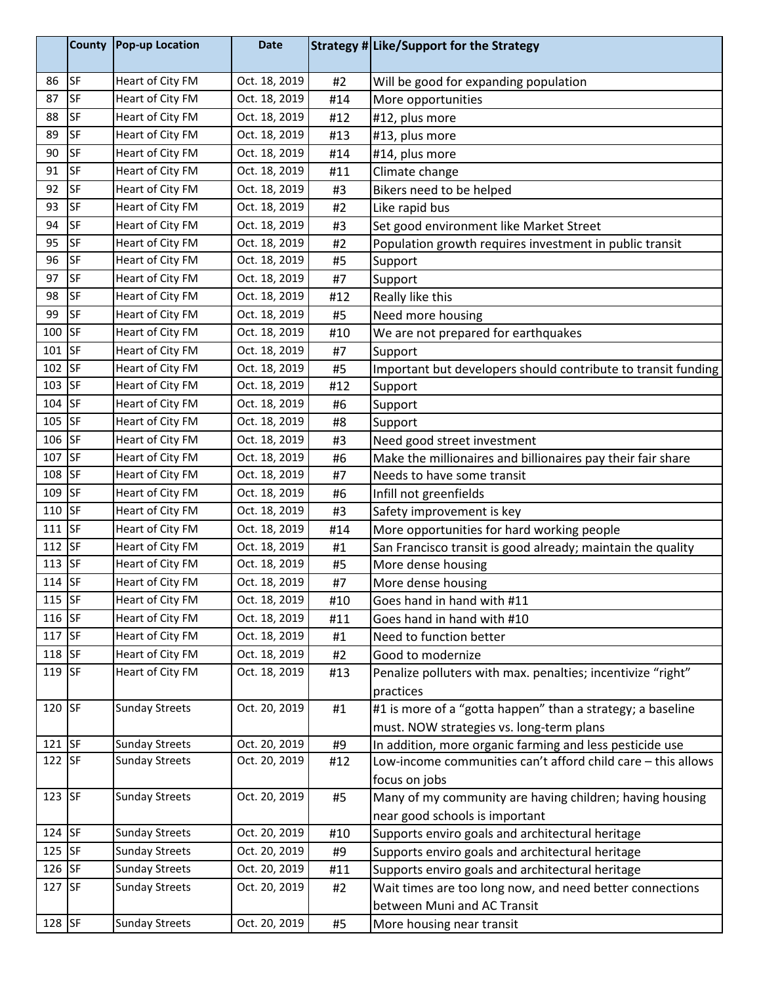|          | <b>County</b> | <b>Pop-up Location</b> | <b>Date</b>   |     | Strategy # Like/Support for the Strategy                      |
|----------|---------------|------------------------|---------------|-----|---------------------------------------------------------------|
| 86       | <b>SF</b>     | Heart of City FM       | Oct. 18, 2019 | #2  | Will be good for expanding population                         |
| 87       | SF            | Heart of City FM       | Oct. 18, 2019 | #14 | More opportunities                                            |
| 88       | <b>SF</b>     | Heart of City FM       | Oct. 18, 2019 | #12 | #12, plus more                                                |
| 89       | SF            | Heart of City FM       | Oct. 18, 2019 | #13 | #13, plus more                                                |
| 90       | SF            | Heart of City FM       | Oct. 18, 2019 | #14 | #14, plus more                                                |
| 91       | SF            | Heart of City FM       | Oct. 18, 2019 | #11 | Climate change                                                |
| 92       | SF            | Heart of City FM       | Oct. 18, 2019 | #3  | Bikers need to be helped                                      |
| 93       | <b>SF</b>     | Heart of City FM       | Oct. 18, 2019 | #2  | Like rapid bus                                                |
| 94       | SF            | Heart of City FM       | Oct. 18, 2019 | #3  | Set good environment like Market Street                       |
| 95       | <b>SF</b>     | Heart of City FM       | Oct. 18, 2019 | #2  | Population growth requires investment in public transit       |
| 96       | <b>SF</b>     | Heart of City FM       | Oct. 18, 2019 | #5  | Support                                                       |
| 97       | SF            | Heart of City FM       | Oct. 18, 2019 | #7  | Support                                                       |
| 98       | <b>SF</b>     | Heart of City FM       | Oct. 18, 2019 | #12 | Really like this                                              |
| 99       | SF            | Heart of City FM       | Oct. 18, 2019 | #5  | Need more housing                                             |
| 100      | <b>SF</b>     | Heart of City FM       | Oct. 18, 2019 | #10 | We are not prepared for earthquakes                           |
| 101      | <b>SF</b>     | Heart of City FM       | Oct. 18, 2019 | #7  | Support                                                       |
| $102$ SF |               | Heart of City FM       | Oct. 18, 2019 | #5  | Important but developers should contribute to transit funding |
| 103 SF   |               | Heart of City FM       | Oct. 18, 2019 | #12 | Support                                                       |
| 104      | <b>SF</b>     | Heart of City FM       | Oct. 18, 2019 | #6  | Support                                                       |
| 105 SF   |               | Heart of City FM       | Oct. 18, 2019 | #8  | Support                                                       |
| 106 SF   |               | Heart of City FM       | Oct. 18, 2019 | #3  | Need good street investment                                   |
| 107 SF   |               | Heart of City FM       | Oct. 18, 2019 | #6  | Make the millionaires and billionaires pay their fair share   |
| 108 SF   |               | Heart of City FM       | Oct. 18, 2019 | #7  | Needs to have some transit                                    |
| 109      | <b>SF</b>     | Heart of City FM       | Oct. 18, 2019 | #6  | Infill not greenfields                                        |
| 110      | <b>SF</b>     | Heart of City FM       | Oct. 18, 2019 | #3  | Safety improvement is key                                     |
| 111      | <b>SF</b>     | Heart of City FM       | Oct. 18, 2019 | #14 | More opportunities for hard working people                    |
| $112$ SF |               | Heart of City FM       | Oct. 18, 2019 | #1  | San Francisco transit is good already; maintain the quality   |
| $113$ SF |               | Heart of City FM       | Oct. 18, 2019 | #5  | More dense housing                                            |
| $114$ SF |               | Heart of City FM       | Oct. 18, 2019 | #7  | More dense housing                                            |
| $115$ SF |               | Heart of City FM       | Oct. 18, 2019 | #10 | Goes hand in hand with #11                                    |
| $116$ SF |               | Heart of City FM       | Oct. 18, 2019 | #11 | Goes hand in hand with #10                                    |
| 117 SF   |               | Heart of City FM       | Oct. 18, 2019 | #1  | Need to function better                                       |
| 118 SF   |               | Heart of City FM       | Oct. 18, 2019 | #2  | Good to modernize                                             |
| 119 SF   |               | Heart of City FM       | Oct. 18, 2019 | #13 | Penalize polluters with max. penalties; incentivize "right"   |
|          |               |                        |               |     | practices                                                     |
| 120 SF   |               | <b>Sunday Streets</b>  | Oct. 20, 2019 | #1  | #1 is more of a "gotta happen" than a strategy; a baseline    |
|          |               |                        |               |     | must. NOW strategies vs. long-term plans                      |
| $121$ SF |               | <b>Sunday Streets</b>  | Oct. 20, 2019 | #9  | In addition, more organic farming and less pesticide use      |
| $122$ SF |               | <b>Sunday Streets</b>  | Oct. 20, 2019 | #12 | Low-income communities can't afford child care - this allows  |
|          |               |                        |               |     | focus on jobs                                                 |
| $123$ SF |               | <b>Sunday Streets</b>  | Oct. 20, 2019 | #5  | Many of my community are having children; having housing      |
|          |               |                        |               |     | near good schools is important                                |
| 124 SF   |               | <b>Sunday Streets</b>  | Oct. 20, 2019 | #10 | Supports enviro goals and architectural heritage              |
| $125$ SF |               | <b>Sunday Streets</b>  | Oct. 20, 2019 | #9  | Supports enviro goals and architectural heritage              |
| 126 SF   |               | <b>Sunday Streets</b>  | Oct. 20, 2019 | #11 | Supports enviro goals and architectural heritage              |
| 127 SF   |               | <b>Sunday Streets</b>  | Oct. 20, 2019 | #2  | Wait times are too long now, and need better connections      |
|          |               |                        |               |     | between Muni and AC Transit                                   |
| 128 SF   |               | <b>Sunday Streets</b>  | Oct. 20, 2019 | #5  | More housing near transit                                     |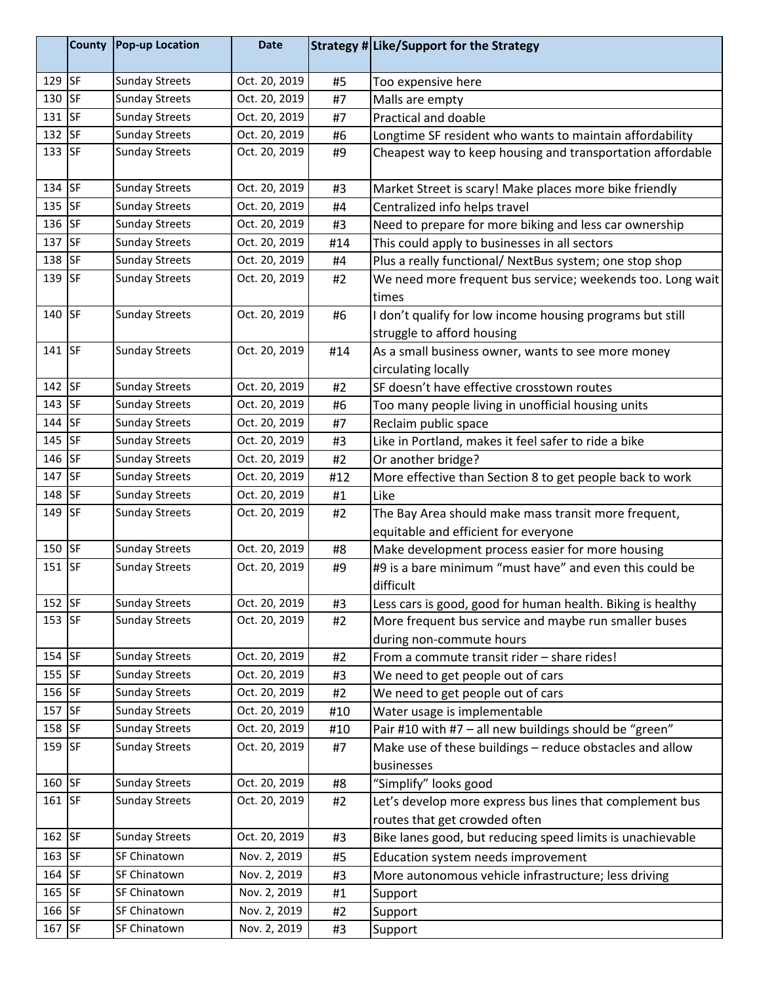|          | County | <b>Pop-up Location</b> | <b>Date</b>   |     | Strategy # Like/Support for the Strategy                             |
|----------|--------|------------------------|---------------|-----|----------------------------------------------------------------------|
| $129$ SF |        | <b>Sunday Streets</b>  | Oct. 20, 2019 | #5  | Too expensive here                                                   |
| 130 SF   |        | <b>Sunday Streets</b>  | Oct. 20, 2019 | #7  | Malls are empty                                                      |
| 131 SF   |        | <b>Sunday Streets</b>  | Oct. 20, 2019 | #7  | <b>Practical and doable</b>                                          |
| 132 SF   |        | <b>Sunday Streets</b>  | Oct. 20, 2019 | #6  | Longtime SF resident who wants to maintain affordability             |
| 133 SF   |        | <b>Sunday Streets</b>  | Oct. 20, 2019 | #9  | Cheapest way to keep housing and transportation affordable           |
| 134 SF   |        | <b>Sunday Streets</b>  | Oct. 20, 2019 | #3  | Market Street is scary! Make places more bike friendly               |
| 135 SF   |        | <b>Sunday Streets</b>  | Oct. 20, 2019 | #4  | Centralized info helps travel                                        |
| 136 SF   |        | <b>Sunday Streets</b>  | Oct. 20, 2019 | #3  | Need to prepare for more biking and less car ownership               |
| 137 SF   |        | <b>Sunday Streets</b>  | Oct. 20, 2019 | #14 | This could apply to businesses in all sectors                        |
| 138 SF   |        | <b>Sunday Streets</b>  | Oct. 20, 2019 | #4  | Plus a really functional/ NextBus system; one stop shop              |
| 139 SF   |        | <b>Sunday Streets</b>  | Oct. 20, 2019 | #2  | We need more frequent bus service; weekends too. Long wait<br>times  |
| $140$ SF |        | <b>Sunday Streets</b>  | Oct. 20, 2019 | #6  | I don't qualify for low income housing programs but still            |
|          |        |                        |               |     | struggle to afford housing                                           |
| 141 SF   |        | <b>Sunday Streets</b>  | Oct. 20, 2019 | #14 | As a small business owner, wants to see more money                   |
|          |        |                        |               |     | circulating locally                                                  |
| 142 SF   |        | <b>Sunday Streets</b>  | Oct. 20, 2019 | #2  | SF doesn't have effective crosstown routes                           |
| 143 SF   |        | <b>Sunday Streets</b>  | Oct. 20, 2019 | #6  | Too many people living in unofficial housing units                   |
| $144$ SF |        | <b>Sunday Streets</b>  | Oct. 20, 2019 | #7  | Reclaim public space                                                 |
| 145 SF   |        | <b>Sunday Streets</b>  | Oct. 20, 2019 | #3  | Like in Portland, makes it feel safer to ride a bike                 |
| 146 SF   |        | <b>Sunday Streets</b>  | Oct. 20, 2019 | #2  | Or another bridge?                                                   |
| 147 SF   |        | <b>Sunday Streets</b>  | Oct. 20, 2019 | #12 | More effective than Section 8 to get people back to work             |
| 148 SF   |        | <b>Sunday Streets</b>  | Oct. 20, 2019 | #1  | Like                                                                 |
| 149 SF   |        | <b>Sunday Streets</b>  | Oct. 20, 2019 | #2  | The Bay Area should make mass transit more frequent,                 |
|          |        |                        |               |     | equitable and efficient for everyone                                 |
| $150$ SF |        | <b>Sunday Streets</b>  | Oct. 20, 2019 | #8  | Make development process easier for more housing                     |
| $151$ SF |        | <b>Sunday Streets</b>  | Oct. 20, 2019 | #9  | #9 is a bare minimum "must have" and even this could be<br>difficult |
| $152$ SF |        | <b>Sunday Streets</b>  | Oct. 20, 2019 | #3  | Less cars is good, good for human health. Biking is healthy          |
| $153$ SF |        | <b>Sunday Streets</b>  | Oct. 20, 2019 | #2  | More frequent bus service and maybe run smaller buses                |
|          |        |                        |               |     | during non-commute hours                                             |
| $154$ SF |        | <b>Sunday Streets</b>  | Oct. 20, 2019 | #2  | From a commute transit rider - share rides!                          |
| 155 SF   |        | <b>Sunday Streets</b>  | Oct. 20, 2019 | #3  | We need to get people out of cars                                    |
| $156$ SF |        | <b>Sunday Streets</b>  | Oct. 20, 2019 | #2  | We need to get people out of cars                                    |
| 157 SF   |        | <b>Sunday Streets</b>  | Oct. 20, 2019 | #10 | Water usage is implementable                                         |
| $158$ SF |        | <b>Sunday Streets</b>  | Oct. 20, 2019 | #10 | Pair #10 with #7 - all new buildings should be "green"               |
| $159$ SF |        | <b>Sunday Streets</b>  | Oct. 20, 2019 | #7  | Make use of these buildings - reduce obstacles and allow             |
|          |        |                        |               |     | businesses                                                           |
| 160 SF   |        | <b>Sunday Streets</b>  | Oct. 20, 2019 | #8  | "Simplify" looks good                                                |
| $161$ SF |        | <b>Sunday Streets</b>  | Oct. 20, 2019 | #2  | Let's develop more express bus lines that complement bus             |
|          |        |                        |               |     | routes that get crowded often                                        |
| $162$ SF |        | <b>Sunday Streets</b>  | Oct. 20, 2019 | #3  | Bike lanes good, but reducing speed limits is unachievable           |
| 163 SF   |        | SF Chinatown           | Nov. 2, 2019  | #5  | Education system needs improvement                                   |
| 164 SF   |        | SF Chinatown           | Nov. 2, 2019  | #3  | More autonomous vehicle infrastructure; less driving                 |
| 165 SF   |        | SF Chinatown           | Nov. 2, 2019  | #1  | Support                                                              |
| 166 SF   |        | SF Chinatown           | Nov. 2, 2019  | #2  | Support                                                              |
| 167 SF   |        | SF Chinatown           | Nov. 2, 2019  | #3  | Support                                                              |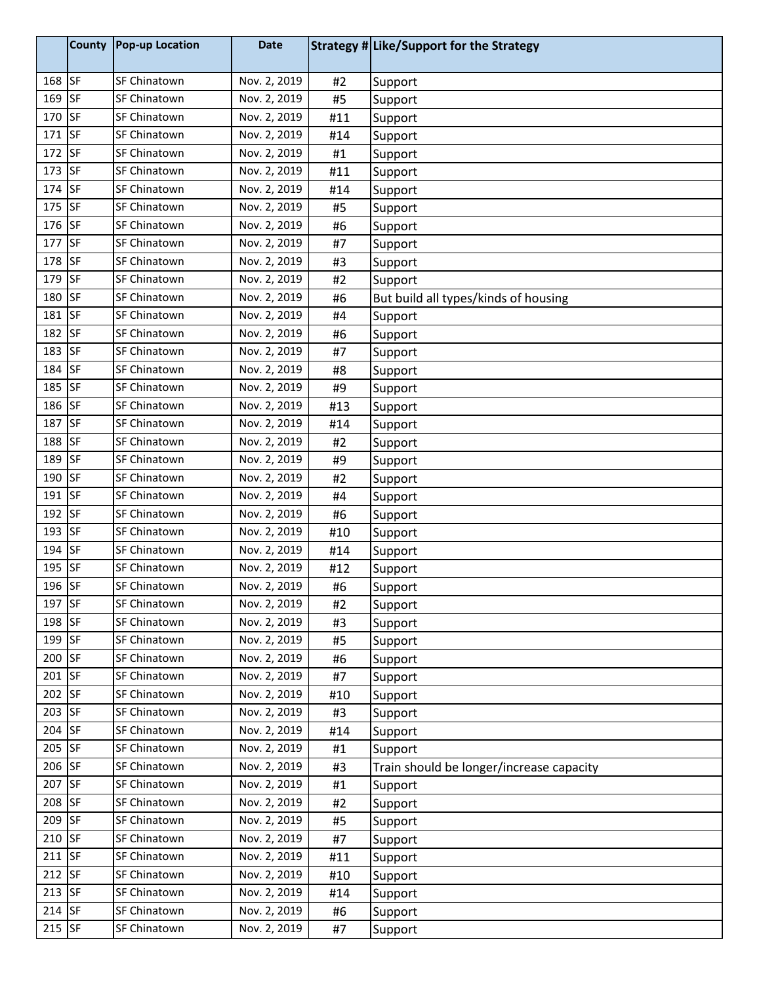|        | <b>County</b> | <b>Pop-up Location</b> | <b>Date</b>  |     | Strategy # Like/Support for the Strategy |
|--------|---------------|------------------------|--------------|-----|------------------------------------------|
| 168 SF |               | SF Chinatown           | Nov. 2, 2019 | #2  | Support                                  |
| 169    | <b>SF</b>     | SF Chinatown           | Nov. 2, 2019 | #5  | Support                                  |
| 170 SF |               | SF Chinatown           | Nov. 2, 2019 | #11 | Support                                  |
| 171    | <b>SF</b>     | SF Chinatown           | Nov. 2, 2019 | #14 | Support                                  |
| 172    | <b>SF</b>     | SF Chinatown           | Nov. 2, 2019 | #1  | Support                                  |
| 173    | <b>SF</b>     | SF Chinatown           | Nov. 2, 2019 | #11 | Support                                  |
| 174 SF |               | SF Chinatown           | Nov. 2, 2019 | #14 | Support                                  |
| 175 SF |               | SF Chinatown           | Nov. 2, 2019 | #5  | Support                                  |
| 176 SF |               | SF Chinatown           | Nov. 2, 2019 | #6  | Support                                  |
| 177    | <b>SF</b>     | SF Chinatown           | Nov. 2, 2019 | #7  | Support                                  |
| 178 SF |               | SF Chinatown           | Nov. 2, 2019 | #3  | Support                                  |
| 179 SF |               | SF Chinatown           | Nov. 2, 2019 | #2  | Support                                  |
| 180 SF |               | SF Chinatown           | Nov. 2, 2019 | #6  | But build all types/kinds of housing     |
| 181 SF |               | SF Chinatown           | Nov. 2, 2019 | #4  | Support                                  |
| 182 SF |               | SF Chinatown           | Nov. 2, 2019 | #6  | Support                                  |
| 183    | <b>SF</b>     | SF Chinatown           | Nov. 2, 2019 | #7  | Support                                  |
| 184 SF |               | SF Chinatown           | Nov. 2, 2019 | #8  | Support                                  |
| 185 SF |               | SF Chinatown           | Nov. 2, 2019 | #9  | Support                                  |
| 186 SF |               | SF Chinatown           | Nov. 2, 2019 | #13 | Support                                  |
| 187 SF |               | SF Chinatown           | Nov. 2, 2019 | #14 | Support                                  |
| 188 SF |               | SF Chinatown           | Nov. 2, 2019 | #2  | Support                                  |
| 189 SF |               | SF Chinatown           | Nov. 2, 2019 | #9  | Support                                  |
| 190 SF |               | SF Chinatown           | Nov. 2, 2019 | #2  | Support                                  |
| 191    | <b>SF</b>     | SF Chinatown           | Nov. 2, 2019 | #4  | Support                                  |
| 192 SF |               | SF Chinatown           | Nov. 2, 2019 | #6  | Support                                  |
| 193 SF |               | SF Chinatown           | Nov. 2, 2019 | #10 | Support                                  |
| 194 SF |               | SF Chinatown           | Nov. 2, 2019 | #14 | Support                                  |
| 195    | <b>SF</b>     | SF Chinatown           | Nov. 2, 2019 | #12 | Support                                  |
| 196 SF |               | SF Chinatown           | Nov. 2, 2019 | #6  | Support                                  |
| 197 SF |               | SF Chinatown           | Nov. 2, 2019 | #2  | Support                                  |
| 198 SF |               | SF Chinatown           | Nov. 2, 2019 | #3  | Support                                  |
| 199 SF |               | SF Chinatown           | Nov. 2, 2019 | #5  | Support                                  |
| 200 SF |               | SF Chinatown           | Nov. 2, 2019 | #6  | Support                                  |
| 201 SF |               | SF Chinatown           | Nov. 2, 2019 | #7  | Support                                  |
| 202 SF |               | SF Chinatown           | Nov. 2, 2019 | #10 | Support                                  |
| 203 SF |               | SF Chinatown           | Nov. 2, 2019 | #3  | Support                                  |
| 204 SF |               | SF Chinatown           | Nov. 2, 2019 | #14 | Support                                  |
| 205 SF |               | SF Chinatown           | Nov. 2, 2019 | #1  | Support                                  |
| 206 SF |               | SF Chinatown           | Nov. 2, 2019 | #3  | Train should be longer/increase capacity |
| 207 SF |               | SF Chinatown           | Nov. 2, 2019 | #1  | Support                                  |
| 208 SF |               | SF Chinatown           | Nov. 2, 2019 | #2  | Support                                  |
| 209 SF |               | SF Chinatown           | Nov. 2, 2019 | #5  | Support                                  |
| 210 SF |               | SF Chinatown           | Nov. 2, 2019 | #7  | Support                                  |
| 211 SF |               | SF Chinatown           | Nov. 2, 2019 | #11 | Support                                  |
| 212 SF |               | SF Chinatown           | Nov. 2, 2019 | #10 | Support                                  |
| 213 SF |               | SF Chinatown           | Nov. 2, 2019 | #14 | Support                                  |
| 214 SF |               | SF Chinatown           | Nov. 2, 2019 | #6  | Support                                  |
| 215 SF |               | SF Chinatown           | Nov. 2, 2019 | #7  | Support                                  |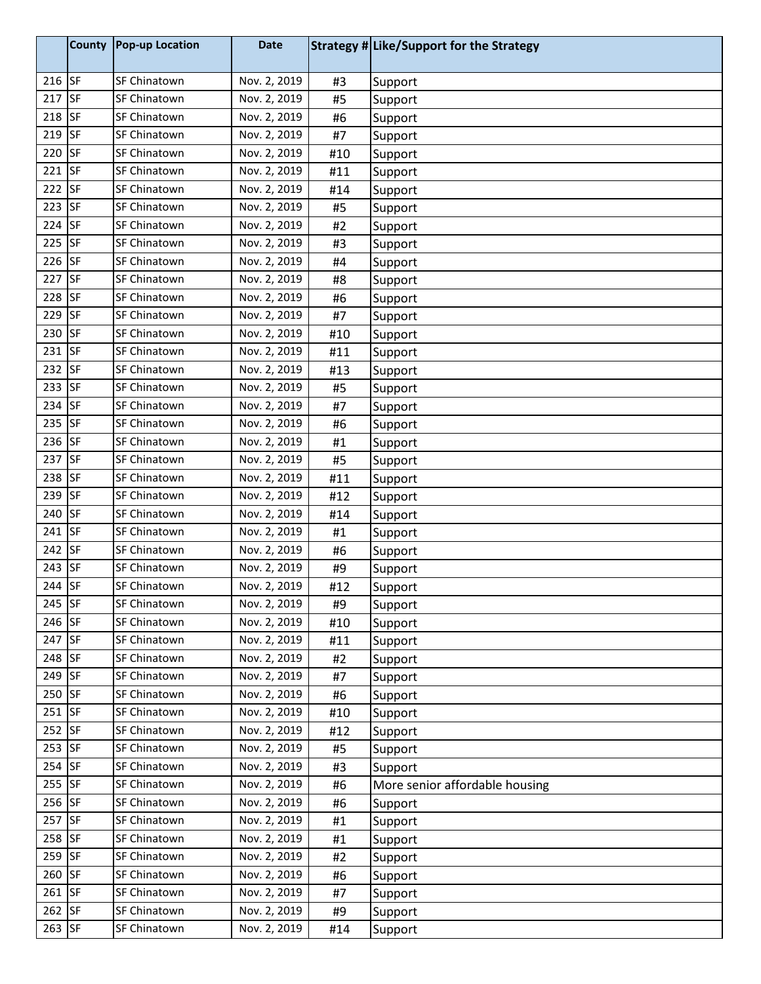|          | <b>County</b> | <b>Pop-up Location</b> | <b>Date</b>  |     | Strategy # Like/Support for the Strategy |
|----------|---------------|------------------------|--------------|-----|------------------------------------------|
| 216 SF   |               | SF Chinatown           | Nov. 2, 2019 | #3  | Support                                  |
| 217      | <b>SF</b>     | SF Chinatown           | Nov. 2, 2019 | #5  | Support                                  |
| 218 SF   |               | SF Chinatown           | Nov. 2, 2019 | #6  | Support                                  |
| 219      | <b>SF</b>     | <b>SF Chinatown</b>    | Nov. 2, 2019 | #7  | Support                                  |
| 220 SF   |               | SF Chinatown           | Nov. 2, 2019 | #10 | Support                                  |
| 221      | <b>SF</b>     | SF Chinatown           | Nov. 2, 2019 | #11 | Support                                  |
| 222 SF   |               | SF Chinatown           | Nov. 2, 2019 | #14 | Support                                  |
| $223$ SF |               | SF Chinatown           | Nov. 2, 2019 | #5  | Support                                  |
| 224      | <b>SF</b>     | SF Chinatown           | Nov. 2, 2019 | #2  | Support                                  |
| 225      | <b>SF</b>     | SF Chinatown           | Nov. 2, 2019 | #3  | Support                                  |
| 226 SF   |               | SF Chinatown           | Nov. 2, 2019 | #4  | Support                                  |
| 227      | <b>SF</b>     | SF Chinatown           | Nov. 2, 2019 | #8  | Support                                  |
| 228 SF   |               | <b>SF Chinatown</b>    | Nov. 2, 2019 | #6  | Support                                  |
| 229      | <b>SF</b>     | SF Chinatown           | Nov. 2, 2019 | #7  | Support                                  |
| 230      | <b>SF</b>     | SF Chinatown           | Nov. 2, 2019 | #10 | Support                                  |
| 231      | <b>SF</b>     | SF Chinatown           | Nov. 2, 2019 | #11 | Support                                  |
| 232      | <b>SF</b>     | SF Chinatown           | Nov. 2, 2019 | #13 | Support                                  |
| 233 SF   |               | SF Chinatown           | Nov. 2, 2019 | #5  | Support                                  |
| 234      | <b>SF</b>     | <b>SF Chinatown</b>    | Nov. 2, 2019 | #7  | Support                                  |
| 235 SF   |               | SF Chinatown           | Nov. 2, 2019 | #6  | Support                                  |
| 236 SF   |               | SF Chinatown           | Nov. 2, 2019 | #1  | Support                                  |
| 237 SF   |               | SF Chinatown           | Nov. 2, 2019 | #5  | Support                                  |
| 238      | <b>SF</b>     | <b>SF Chinatown</b>    | Nov. 2, 2019 | #11 | Support                                  |
| 239      | <b>SF</b>     | SF Chinatown           | Nov. 2, 2019 | #12 | Support                                  |
| 240      | <b>SF</b>     | <b>SF Chinatown</b>    | Nov. 2, 2019 | #14 | Support                                  |
| 241 SF   |               | SF Chinatown           | Nov. 2, 2019 | #1  | Support                                  |
| 242 SF   |               | SF Chinatown           | Nov. 2, 2019 | #6  | Support                                  |
| 243      | <b>SF</b>     | <b>SF Chinatown</b>    | Nov. 2, 2019 | #9  | Support                                  |
| 244 SF   |               | SF Chinatown           | Nov. 2, 2019 | #12 | Support                                  |
| 245 SF   |               | SF Chinatown           | Nov. 2, 2019 | #9  | Support                                  |
| 246 SF   |               | SF Chinatown           | Nov. 2, 2019 | #10 | Support                                  |
| 247 SF   |               | SF Chinatown           | Nov. 2, 2019 | #11 | Support                                  |
| 248 SF   |               | SF Chinatown           | Nov. 2, 2019 | #2  | Support                                  |
| 249 SF   |               | SF Chinatown           | Nov. 2, 2019 | #7  | Support                                  |
| 250 SF   |               | SF Chinatown           | Nov. 2, 2019 | #6  | Support                                  |
| $251$ SF |               | SF Chinatown           | Nov. 2, 2019 | #10 | Support                                  |
| $252$ SF |               | SF Chinatown           | Nov. 2, 2019 | #12 | Support                                  |
| 253 SF   |               | SF Chinatown           | Nov. 2, 2019 | #5  | Support                                  |
| 254 SF   |               | SF Chinatown           | Nov. 2, 2019 | #3  | Support                                  |
| 255 SF   |               | SF Chinatown           | Nov. 2, 2019 | #6  | More senior affordable housing           |
| 256 SF   |               | SF Chinatown           | Nov. 2, 2019 | #6  | Support                                  |
| 257 SF   |               | SF Chinatown           | Nov. 2, 2019 | #1  | Support                                  |
| 258 SF   |               | SF Chinatown           | Nov. 2, 2019 | #1  | Support                                  |
| 259 SF   |               | SF Chinatown           | Nov. 2, 2019 | #2  | Support                                  |
| 260 SF   |               | SF Chinatown           | Nov. 2, 2019 | #6  | Support                                  |
| 261 SF   |               | SF Chinatown           | Nov. 2, 2019 | #7  | Support                                  |
| 262 SF   |               | SF Chinatown           | Nov. 2, 2019 | #9  | Support                                  |
| 263 SF   |               | SF Chinatown           | Nov. 2, 2019 | #14 | Support                                  |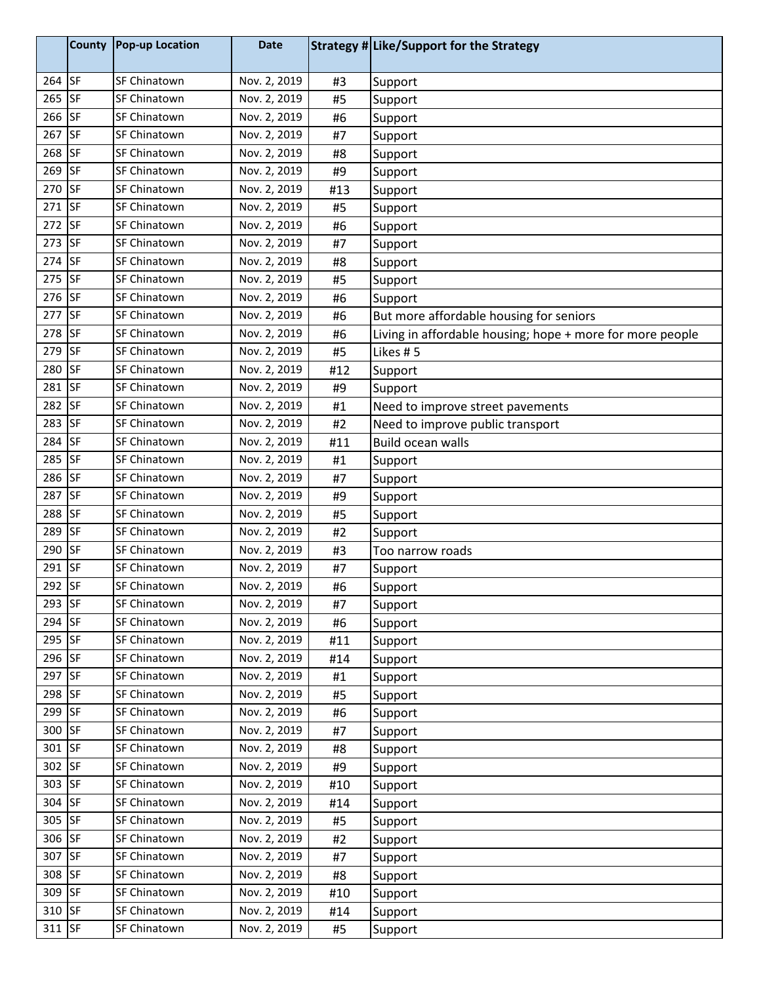|          | <b>County</b> | <b>Pop-up Location</b> | <b>Date</b>  |     | Strategy # Like/Support for the Strategy                  |
|----------|---------------|------------------------|--------------|-----|-----------------------------------------------------------|
| 264 SF   |               | SF Chinatown           | Nov. 2, 2019 | #3  | Support                                                   |
| 265      | <b>SF</b>     | SF Chinatown           | Nov. 2, 2019 | #5  | Support                                                   |
| 266 SF   |               | SF Chinatown           | Nov. 2, 2019 | #6  | Support                                                   |
| 267      | <b>SF</b>     | SF Chinatown           | Nov. 2, 2019 | #7  | Support                                                   |
| 268      | <b>SF</b>     | SF Chinatown           | Nov. 2, 2019 | #8  | Support                                                   |
| 269      | <b>SF</b>     | SF Chinatown           | Nov. 2, 2019 | #9  | Support                                                   |
| 270      | <b>SF</b>     | SF Chinatown           | Nov. 2, 2019 | #13 | Support                                                   |
| $271$ SF |               | SF Chinatown           | Nov. 2, 2019 | #5  | Support                                                   |
| 272      | <b>SF</b>     | <b>SF Chinatown</b>    | Nov. 2, 2019 | #6  | Support                                                   |
| 273      | <b>SF</b>     | SF Chinatown           | Nov. 2, 2019 | #7  | Support                                                   |
| 274      | <b>SF</b>     | SF Chinatown           | Nov. 2, 2019 | #8  | Support                                                   |
| 275      | <b>SF</b>     | SF Chinatown           | Nov. 2, 2019 | #5  | Support                                                   |
| 276 SF   |               | SF Chinatown           | Nov. 2, 2019 | #6  | Support                                                   |
| 277      | <b>SF</b>     | SF Chinatown           | Nov. 2, 2019 | #6  | But more affordable housing for seniors                   |
| 278      | <b>SF</b>     | SF Chinatown           | Nov. 2, 2019 | #6  | Living in affordable housing; hope + more for more people |
| 279      | <b>SF</b>     | SF Chinatown           | Nov. 2, 2019 | #5  | Likes #5                                                  |
| 280      | <b>SF</b>     | SF Chinatown           | Nov. 2, 2019 | #12 | Support                                                   |
| 281      | <b>SF</b>     | SF Chinatown           | Nov. 2, 2019 | #9  | Support                                                   |
| 282      | <b>SF</b>     | SF Chinatown           | Nov. 2, 2019 | #1  | Need to improve street pavements                          |
| 283      | <b>SF</b>     | <b>SF Chinatown</b>    | Nov. 2, 2019 | #2  | Need to improve public transport                          |
| 284      | <b>SF</b>     | SF Chinatown           | Nov. 2, 2019 | #11 | Build ocean walls                                         |
| 285      | <b>SF</b>     | SF Chinatown           | Nov. 2, 2019 | #1  | Support                                                   |
| 286      | <b>SF</b>     | SF Chinatown           | Nov. 2, 2019 | #7  | Support                                                   |
| 287      | <b>SF</b>     | SF Chinatown           | Nov. 2, 2019 | #9  | Support                                                   |
| 288      | <b>SF</b>     | SF Chinatown           | Nov. 2, 2019 | #5  | Support                                                   |
| 289      | <b>SF</b>     | SF Chinatown           | Nov. 2, 2019 | #2  | Support                                                   |
| 290      | <b>SF</b>     | SF Chinatown           | Nov. 2, 2019 | #3  | Too narrow roads                                          |
| 291      | <b>SF</b>     | SF Chinatown           | Nov. 2, 2019 | #7  | Support                                                   |
| 292 SF   |               | SF Chinatown           | Nov. 2, 2019 | #6  | Support                                                   |
| 293 SF   |               | SF Chinatown           | Nov. 2, 2019 | #7  | Support                                                   |
| 294 SF   |               | SF Chinatown           | Nov. 2, 2019 | #6  | Support                                                   |
| 295 SF   |               | SF Chinatown           | Nov. 2, 2019 | #11 | Support                                                   |
| 296 SF   |               | SF Chinatown           | Nov. 2, 2019 | #14 | Support                                                   |
| 297 SF   |               | SF Chinatown           | Nov. 2, 2019 | #1  | Support                                                   |
| 298 SF   |               | SF Chinatown           | Nov. 2, 2019 | #5  | Support                                                   |
| 299 SF   |               | SF Chinatown           | Nov. 2, 2019 | #6  | Support                                                   |
| 300 SF   |               | SF Chinatown           | Nov. 2, 2019 | #7  | Support                                                   |
| 301 SF   |               | SF Chinatown           | Nov. 2, 2019 | #8  | Support                                                   |
| 302 SF   |               | SF Chinatown           | Nov. 2, 2019 | #9  | Support                                                   |
| 303 SF   |               | SF Chinatown           | Nov. 2, 2019 | #10 | Support                                                   |
| 304 SF   |               | SF Chinatown           | Nov. 2, 2019 | #14 | Support                                                   |
| 305 SF   |               | SF Chinatown           | Nov. 2, 2019 | #5  | Support                                                   |
| 306 SF   |               | SF Chinatown           | Nov. 2, 2019 | #2  | Support                                                   |
| 307 SF   |               | SF Chinatown           | Nov. 2, 2019 | #7  | Support                                                   |
| 308 SF   |               | SF Chinatown           | Nov. 2, 2019 | #8  | Support                                                   |
| 309 SF   |               | SF Chinatown           | Nov. 2, 2019 | #10 | Support                                                   |
| 310      | <b>SF</b>     | SF Chinatown           | Nov. 2, 2019 | #14 | Support                                                   |
| 311 SF   |               | SF Chinatown           | Nov. 2, 2019 | #5  | Support                                                   |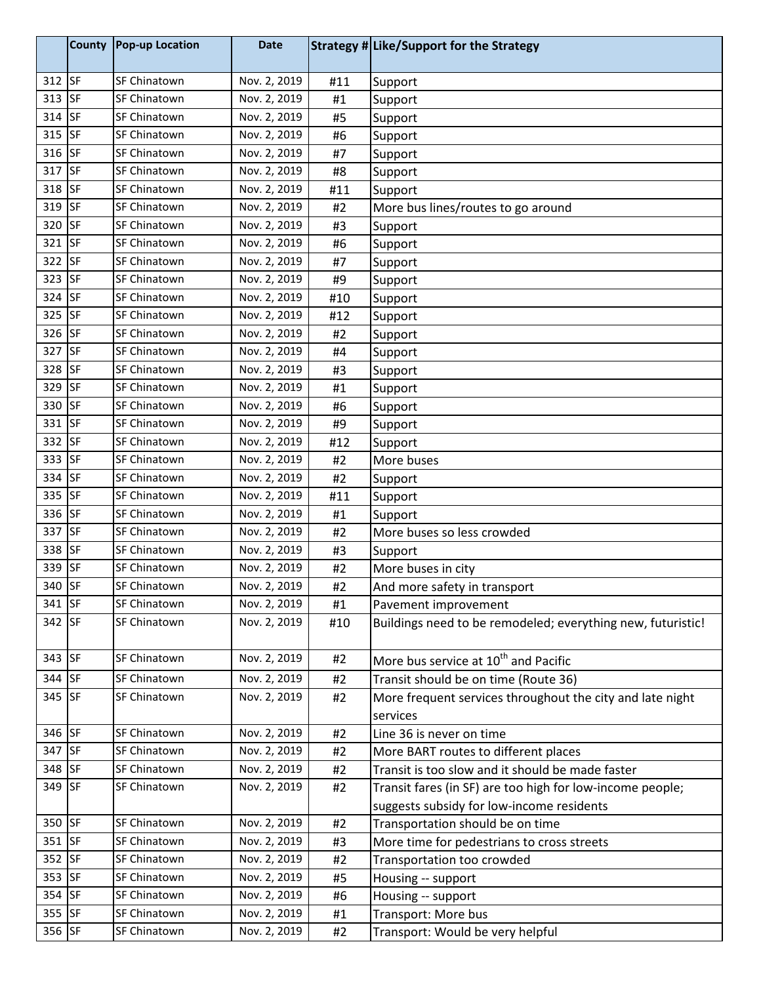| 312 SF<br>SF Chinatown<br>Nov. 2, 2019<br>#11<br>Support<br>313 SF<br>SF Chinatown<br>Nov. 2, 2019<br>#1<br>Support<br>314 SF<br>SF Chinatown<br>Nov. 2, 2019<br>#5<br>Support<br>315 SF<br>SF Chinatown<br>Nov. 2, 2019<br>#6<br>Support<br>316 SF<br>SF Chinatown<br>Nov. 2, 2019<br>#7<br>Support<br>317 SF<br>SF Chinatown<br>Nov. 2, 2019<br>#8<br>Support<br>318 SF<br>Nov. 2, 2019<br>SF Chinatown<br>#11<br>Support<br>319 SF<br>SF Chinatown<br>Nov. 2, 2019<br>More bus lines/routes to go around<br>#2<br>320 SF<br>SF Chinatown<br>Nov. 2, 2019<br>#3<br>Support<br><b>SF</b><br>321<br>SF Chinatown<br>Nov. 2, 2019<br>#6<br>Support<br>322 SF<br>SF Chinatown<br>Nov. 2, 2019<br>#7<br>Support<br>323 SF<br>SF Chinatown<br>Nov. 2, 2019<br>#9<br>Support<br>324 SF<br>Nov. 2, 2019<br>SF Chinatown<br>#10<br>Support<br>325 SF<br>Nov. 2, 2019<br>SF Chinatown<br>#12<br>Support<br>326 SF<br>SF Chinatown<br>Nov. 2, 2019<br>#2<br>Support<br><b>SF</b><br>327<br><b>SF Chinatown</b><br>Nov. 2, 2019<br>#4<br>Support<br>328 SF<br>SF Chinatown<br>Nov. 2, 2019<br>#3<br>Support<br>329 SF<br>SF Chinatown<br>Nov. 2, 2019<br>#1<br>Support<br>330 SF<br>SF Chinatown<br>Nov. 2, 2019<br>#6<br>Support<br>331 SF<br>SF Chinatown<br>Nov. 2, 2019<br>#9<br>Support<br>332 SF<br>SF Chinatown<br>Nov. 2, 2019<br>#12<br>Support<br>333 SF<br>SF Chinatown<br>Nov. 2, 2019<br>More buses<br>#2<br>334 SF<br>SF Chinatown<br>Nov. 2, 2019<br>#2<br>Support<br>335 SF<br>SF Chinatown<br>Nov. 2, 2019<br>#11<br>Support<br>336 SF<br>SF Chinatown<br>Nov. 2, 2019<br>#1<br>Support<br>337 SF<br>SF Chinatown<br>Nov. 2, 2019<br>#2<br>More buses so less crowded<br>338 SF<br>SF Chinatown<br>Nov. 2, 2019<br>#3<br>Support<br>339<br><b>SF</b><br>Nov. 2, 2019<br>SF Chinatown<br>More buses in city<br>#2<br>340 SF<br>Nov. 2, 2019<br>SF Chinatown<br>#2<br>And more safety in transport<br>341 SF<br>Nov. 2, 2019<br>SF Chinatown<br>#1<br>Pavement improvement<br>342 SF<br>SF Chinatown<br>Nov. 2, 2019<br>Buildings need to be remodeled; everything new, futuristic!<br>#10<br>343 SF<br>Nov. 2, 2019<br>SF Chinatown<br>More bus service at 10 <sup>th</sup> and Pacific<br>#2<br>344 SF<br>SF Chinatown<br>Nov. 2, 2019<br>Transit should be on time (Route 36)<br>#2<br>345 SF<br>Nov. 2, 2019<br>SF Chinatown<br>More frequent services throughout the city and late night<br>#2<br>services<br>346 SF<br>SF Chinatown<br>Nov. 2, 2019<br>#2<br>Line 36 is never on time |
|--------------------------------------------------------------------------------------------------------------------------------------------------------------------------------------------------------------------------------------------------------------------------------------------------------------------------------------------------------------------------------------------------------------------------------------------------------------------------------------------------------------------------------------------------------------------------------------------------------------------------------------------------------------------------------------------------------------------------------------------------------------------------------------------------------------------------------------------------------------------------------------------------------------------------------------------------------------------------------------------------------------------------------------------------------------------------------------------------------------------------------------------------------------------------------------------------------------------------------------------------------------------------------------------------------------------------------------------------------------------------------------------------------------------------------------------------------------------------------------------------------------------------------------------------------------------------------------------------------------------------------------------------------------------------------------------------------------------------------------------------------------------------------------------------------------------------------------------------------------------------------------------------------------------------------------------------------------------------------------------------------------------------------------------------------------------------------------------------------------------------------------------------------------------------------------------------------------------------------------------------------------------------------------------------------------------------------------------------------------------------------------------------------------------------------------------------------------------------------------------------|
|                                                                                                                                                                                                                                                                                                                                                                                                                                                                                                                                                                                                                                                                                                                                                                                                                                                                                                                                                                                                                                                                                                                                                                                                                                                                                                                                                                                                                                                                                                                                                                                                                                                                                                                                                                                                                                                                                                                                                                                                                                                                                                                                                                                                                                                                                                                                                                                                                                                                                                  |
|                                                                                                                                                                                                                                                                                                                                                                                                                                                                                                                                                                                                                                                                                                                                                                                                                                                                                                                                                                                                                                                                                                                                                                                                                                                                                                                                                                                                                                                                                                                                                                                                                                                                                                                                                                                                                                                                                                                                                                                                                                                                                                                                                                                                                                                                                                                                                                                                                                                                                                  |
|                                                                                                                                                                                                                                                                                                                                                                                                                                                                                                                                                                                                                                                                                                                                                                                                                                                                                                                                                                                                                                                                                                                                                                                                                                                                                                                                                                                                                                                                                                                                                                                                                                                                                                                                                                                                                                                                                                                                                                                                                                                                                                                                                                                                                                                                                                                                                                                                                                                                                                  |
|                                                                                                                                                                                                                                                                                                                                                                                                                                                                                                                                                                                                                                                                                                                                                                                                                                                                                                                                                                                                                                                                                                                                                                                                                                                                                                                                                                                                                                                                                                                                                                                                                                                                                                                                                                                                                                                                                                                                                                                                                                                                                                                                                                                                                                                                                                                                                                                                                                                                                                  |
|                                                                                                                                                                                                                                                                                                                                                                                                                                                                                                                                                                                                                                                                                                                                                                                                                                                                                                                                                                                                                                                                                                                                                                                                                                                                                                                                                                                                                                                                                                                                                                                                                                                                                                                                                                                                                                                                                                                                                                                                                                                                                                                                                                                                                                                                                                                                                                                                                                                                                                  |
|                                                                                                                                                                                                                                                                                                                                                                                                                                                                                                                                                                                                                                                                                                                                                                                                                                                                                                                                                                                                                                                                                                                                                                                                                                                                                                                                                                                                                                                                                                                                                                                                                                                                                                                                                                                                                                                                                                                                                                                                                                                                                                                                                                                                                                                                                                                                                                                                                                                                                                  |
|                                                                                                                                                                                                                                                                                                                                                                                                                                                                                                                                                                                                                                                                                                                                                                                                                                                                                                                                                                                                                                                                                                                                                                                                                                                                                                                                                                                                                                                                                                                                                                                                                                                                                                                                                                                                                                                                                                                                                                                                                                                                                                                                                                                                                                                                                                                                                                                                                                                                                                  |
|                                                                                                                                                                                                                                                                                                                                                                                                                                                                                                                                                                                                                                                                                                                                                                                                                                                                                                                                                                                                                                                                                                                                                                                                                                                                                                                                                                                                                                                                                                                                                                                                                                                                                                                                                                                                                                                                                                                                                                                                                                                                                                                                                                                                                                                                                                                                                                                                                                                                                                  |
|                                                                                                                                                                                                                                                                                                                                                                                                                                                                                                                                                                                                                                                                                                                                                                                                                                                                                                                                                                                                                                                                                                                                                                                                                                                                                                                                                                                                                                                                                                                                                                                                                                                                                                                                                                                                                                                                                                                                                                                                                                                                                                                                                                                                                                                                                                                                                                                                                                                                                                  |
|                                                                                                                                                                                                                                                                                                                                                                                                                                                                                                                                                                                                                                                                                                                                                                                                                                                                                                                                                                                                                                                                                                                                                                                                                                                                                                                                                                                                                                                                                                                                                                                                                                                                                                                                                                                                                                                                                                                                                                                                                                                                                                                                                                                                                                                                                                                                                                                                                                                                                                  |
|                                                                                                                                                                                                                                                                                                                                                                                                                                                                                                                                                                                                                                                                                                                                                                                                                                                                                                                                                                                                                                                                                                                                                                                                                                                                                                                                                                                                                                                                                                                                                                                                                                                                                                                                                                                                                                                                                                                                                                                                                                                                                                                                                                                                                                                                                                                                                                                                                                                                                                  |
|                                                                                                                                                                                                                                                                                                                                                                                                                                                                                                                                                                                                                                                                                                                                                                                                                                                                                                                                                                                                                                                                                                                                                                                                                                                                                                                                                                                                                                                                                                                                                                                                                                                                                                                                                                                                                                                                                                                                                                                                                                                                                                                                                                                                                                                                                                                                                                                                                                                                                                  |
|                                                                                                                                                                                                                                                                                                                                                                                                                                                                                                                                                                                                                                                                                                                                                                                                                                                                                                                                                                                                                                                                                                                                                                                                                                                                                                                                                                                                                                                                                                                                                                                                                                                                                                                                                                                                                                                                                                                                                                                                                                                                                                                                                                                                                                                                                                                                                                                                                                                                                                  |
|                                                                                                                                                                                                                                                                                                                                                                                                                                                                                                                                                                                                                                                                                                                                                                                                                                                                                                                                                                                                                                                                                                                                                                                                                                                                                                                                                                                                                                                                                                                                                                                                                                                                                                                                                                                                                                                                                                                                                                                                                                                                                                                                                                                                                                                                                                                                                                                                                                                                                                  |
|                                                                                                                                                                                                                                                                                                                                                                                                                                                                                                                                                                                                                                                                                                                                                                                                                                                                                                                                                                                                                                                                                                                                                                                                                                                                                                                                                                                                                                                                                                                                                                                                                                                                                                                                                                                                                                                                                                                                                                                                                                                                                                                                                                                                                                                                                                                                                                                                                                                                                                  |
|                                                                                                                                                                                                                                                                                                                                                                                                                                                                                                                                                                                                                                                                                                                                                                                                                                                                                                                                                                                                                                                                                                                                                                                                                                                                                                                                                                                                                                                                                                                                                                                                                                                                                                                                                                                                                                                                                                                                                                                                                                                                                                                                                                                                                                                                                                                                                                                                                                                                                                  |
|                                                                                                                                                                                                                                                                                                                                                                                                                                                                                                                                                                                                                                                                                                                                                                                                                                                                                                                                                                                                                                                                                                                                                                                                                                                                                                                                                                                                                                                                                                                                                                                                                                                                                                                                                                                                                                                                                                                                                                                                                                                                                                                                                                                                                                                                                                                                                                                                                                                                                                  |
|                                                                                                                                                                                                                                                                                                                                                                                                                                                                                                                                                                                                                                                                                                                                                                                                                                                                                                                                                                                                                                                                                                                                                                                                                                                                                                                                                                                                                                                                                                                                                                                                                                                                                                                                                                                                                                                                                                                                                                                                                                                                                                                                                                                                                                                                                                                                                                                                                                                                                                  |
|                                                                                                                                                                                                                                                                                                                                                                                                                                                                                                                                                                                                                                                                                                                                                                                                                                                                                                                                                                                                                                                                                                                                                                                                                                                                                                                                                                                                                                                                                                                                                                                                                                                                                                                                                                                                                                                                                                                                                                                                                                                                                                                                                                                                                                                                                                                                                                                                                                                                                                  |
|                                                                                                                                                                                                                                                                                                                                                                                                                                                                                                                                                                                                                                                                                                                                                                                                                                                                                                                                                                                                                                                                                                                                                                                                                                                                                                                                                                                                                                                                                                                                                                                                                                                                                                                                                                                                                                                                                                                                                                                                                                                                                                                                                                                                                                                                                                                                                                                                                                                                                                  |
|                                                                                                                                                                                                                                                                                                                                                                                                                                                                                                                                                                                                                                                                                                                                                                                                                                                                                                                                                                                                                                                                                                                                                                                                                                                                                                                                                                                                                                                                                                                                                                                                                                                                                                                                                                                                                                                                                                                                                                                                                                                                                                                                                                                                                                                                                                                                                                                                                                                                                                  |
|                                                                                                                                                                                                                                                                                                                                                                                                                                                                                                                                                                                                                                                                                                                                                                                                                                                                                                                                                                                                                                                                                                                                                                                                                                                                                                                                                                                                                                                                                                                                                                                                                                                                                                                                                                                                                                                                                                                                                                                                                                                                                                                                                                                                                                                                                                                                                                                                                                                                                                  |
|                                                                                                                                                                                                                                                                                                                                                                                                                                                                                                                                                                                                                                                                                                                                                                                                                                                                                                                                                                                                                                                                                                                                                                                                                                                                                                                                                                                                                                                                                                                                                                                                                                                                                                                                                                                                                                                                                                                                                                                                                                                                                                                                                                                                                                                                                                                                                                                                                                                                                                  |
|                                                                                                                                                                                                                                                                                                                                                                                                                                                                                                                                                                                                                                                                                                                                                                                                                                                                                                                                                                                                                                                                                                                                                                                                                                                                                                                                                                                                                                                                                                                                                                                                                                                                                                                                                                                                                                                                                                                                                                                                                                                                                                                                                                                                                                                                                                                                                                                                                                                                                                  |
|                                                                                                                                                                                                                                                                                                                                                                                                                                                                                                                                                                                                                                                                                                                                                                                                                                                                                                                                                                                                                                                                                                                                                                                                                                                                                                                                                                                                                                                                                                                                                                                                                                                                                                                                                                                                                                                                                                                                                                                                                                                                                                                                                                                                                                                                                                                                                                                                                                                                                                  |
|                                                                                                                                                                                                                                                                                                                                                                                                                                                                                                                                                                                                                                                                                                                                                                                                                                                                                                                                                                                                                                                                                                                                                                                                                                                                                                                                                                                                                                                                                                                                                                                                                                                                                                                                                                                                                                                                                                                                                                                                                                                                                                                                                                                                                                                                                                                                                                                                                                                                                                  |
|                                                                                                                                                                                                                                                                                                                                                                                                                                                                                                                                                                                                                                                                                                                                                                                                                                                                                                                                                                                                                                                                                                                                                                                                                                                                                                                                                                                                                                                                                                                                                                                                                                                                                                                                                                                                                                                                                                                                                                                                                                                                                                                                                                                                                                                                                                                                                                                                                                                                                                  |
|                                                                                                                                                                                                                                                                                                                                                                                                                                                                                                                                                                                                                                                                                                                                                                                                                                                                                                                                                                                                                                                                                                                                                                                                                                                                                                                                                                                                                                                                                                                                                                                                                                                                                                                                                                                                                                                                                                                                                                                                                                                                                                                                                                                                                                                                                                                                                                                                                                                                                                  |
|                                                                                                                                                                                                                                                                                                                                                                                                                                                                                                                                                                                                                                                                                                                                                                                                                                                                                                                                                                                                                                                                                                                                                                                                                                                                                                                                                                                                                                                                                                                                                                                                                                                                                                                                                                                                                                                                                                                                                                                                                                                                                                                                                                                                                                                                                                                                                                                                                                                                                                  |
|                                                                                                                                                                                                                                                                                                                                                                                                                                                                                                                                                                                                                                                                                                                                                                                                                                                                                                                                                                                                                                                                                                                                                                                                                                                                                                                                                                                                                                                                                                                                                                                                                                                                                                                                                                                                                                                                                                                                                                                                                                                                                                                                                                                                                                                                                                                                                                                                                                                                                                  |
|                                                                                                                                                                                                                                                                                                                                                                                                                                                                                                                                                                                                                                                                                                                                                                                                                                                                                                                                                                                                                                                                                                                                                                                                                                                                                                                                                                                                                                                                                                                                                                                                                                                                                                                                                                                                                                                                                                                                                                                                                                                                                                                                                                                                                                                                                                                                                                                                                                                                                                  |
|                                                                                                                                                                                                                                                                                                                                                                                                                                                                                                                                                                                                                                                                                                                                                                                                                                                                                                                                                                                                                                                                                                                                                                                                                                                                                                                                                                                                                                                                                                                                                                                                                                                                                                                                                                                                                                                                                                                                                                                                                                                                                                                                                                                                                                                                                                                                                                                                                                                                                                  |
|                                                                                                                                                                                                                                                                                                                                                                                                                                                                                                                                                                                                                                                                                                                                                                                                                                                                                                                                                                                                                                                                                                                                                                                                                                                                                                                                                                                                                                                                                                                                                                                                                                                                                                                                                                                                                                                                                                                                                                                                                                                                                                                                                                                                                                                                                                                                                                                                                                                                                                  |
|                                                                                                                                                                                                                                                                                                                                                                                                                                                                                                                                                                                                                                                                                                                                                                                                                                                                                                                                                                                                                                                                                                                                                                                                                                                                                                                                                                                                                                                                                                                                                                                                                                                                                                                                                                                                                                                                                                                                                                                                                                                                                                                                                                                                                                                                                                                                                                                                                                                                                                  |
|                                                                                                                                                                                                                                                                                                                                                                                                                                                                                                                                                                                                                                                                                                                                                                                                                                                                                                                                                                                                                                                                                                                                                                                                                                                                                                                                                                                                                                                                                                                                                                                                                                                                                                                                                                                                                                                                                                                                                                                                                                                                                                                                                                                                                                                                                                                                                                                                                                                                                                  |
|                                                                                                                                                                                                                                                                                                                                                                                                                                                                                                                                                                                                                                                                                                                                                                                                                                                                                                                                                                                                                                                                                                                                                                                                                                                                                                                                                                                                                                                                                                                                                                                                                                                                                                                                                                                                                                                                                                                                                                                                                                                                                                                                                                                                                                                                                                                                                                                                                                                                                                  |
| 347 SF<br>SF Chinatown<br>Nov. 2, 2019<br>More BART routes to different places<br>#2                                                                                                                                                                                                                                                                                                                                                                                                                                                                                                                                                                                                                                                                                                                                                                                                                                                                                                                                                                                                                                                                                                                                                                                                                                                                                                                                                                                                                                                                                                                                                                                                                                                                                                                                                                                                                                                                                                                                                                                                                                                                                                                                                                                                                                                                                                                                                                                                             |
| 348 SF<br>SF Chinatown<br>Nov. 2, 2019<br>Transit is too slow and it should be made faster<br>#2                                                                                                                                                                                                                                                                                                                                                                                                                                                                                                                                                                                                                                                                                                                                                                                                                                                                                                                                                                                                                                                                                                                                                                                                                                                                                                                                                                                                                                                                                                                                                                                                                                                                                                                                                                                                                                                                                                                                                                                                                                                                                                                                                                                                                                                                                                                                                                                                 |
| 349 SF<br>SF Chinatown<br>Nov. 2, 2019<br>Transit fares (in SF) are too high for low-income people;<br>#2                                                                                                                                                                                                                                                                                                                                                                                                                                                                                                                                                                                                                                                                                                                                                                                                                                                                                                                                                                                                                                                                                                                                                                                                                                                                                                                                                                                                                                                                                                                                                                                                                                                                                                                                                                                                                                                                                                                                                                                                                                                                                                                                                                                                                                                                                                                                                                                        |
| suggests subsidy for low-income residents                                                                                                                                                                                                                                                                                                                                                                                                                                                                                                                                                                                                                                                                                                                                                                                                                                                                                                                                                                                                                                                                                                                                                                                                                                                                                                                                                                                                                                                                                                                                                                                                                                                                                                                                                                                                                                                                                                                                                                                                                                                                                                                                                                                                                                                                                                                                                                                                                                                        |
| 350 SF<br>SF Chinatown<br>Nov. 2, 2019<br>#2<br>Transportation should be on time                                                                                                                                                                                                                                                                                                                                                                                                                                                                                                                                                                                                                                                                                                                                                                                                                                                                                                                                                                                                                                                                                                                                                                                                                                                                                                                                                                                                                                                                                                                                                                                                                                                                                                                                                                                                                                                                                                                                                                                                                                                                                                                                                                                                                                                                                                                                                                                                                 |
| 351 SF<br>Nov. 2, 2019<br>SF Chinatown<br>More time for pedestrians to cross streets<br>#3                                                                                                                                                                                                                                                                                                                                                                                                                                                                                                                                                                                                                                                                                                                                                                                                                                                                                                                                                                                                                                                                                                                                                                                                                                                                                                                                                                                                                                                                                                                                                                                                                                                                                                                                                                                                                                                                                                                                                                                                                                                                                                                                                                                                                                                                                                                                                                                                       |
| 352 SF<br>SF Chinatown<br>Nov. 2, 2019<br>#2<br>Transportation too crowded                                                                                                                                                                                                                                                                                                                                                                                                                                                                                                                                                                                                                                                                                                                                                                                                                                                                                                                                                                                                                                                                                                                                                                                                                                                                                                                                                                                                                                                                                                                                                                                                                                                                                                                                                                                                                                                                                                                                                                                                                                                                                                                                                                                                                                                                                                                                                                                                                       |
| 353 SF<br>SF Chinatown<br>Nov. 2, 2019<br>#5<br>Housing -- support                                                                                                                                                                                                                                                                                                                                                                                                                                                                                                                                                                                                                                                                                                                                                                                                                                                                                                                                                                                                                                                                                                                                                                                                                                                                                                                                                                                                                                                                                                                                                                                                                                                                                                                                                                                                                                                                                                                                                                                                                                                                                                                                                                                                                                                                                                                                                                                                                               |
| 354 SF<br>SF Chinatown<br>Nov. 2, 2019<br>#6<br>Housing -- support                                                                                                                                                                                                                                                                                                                                                                                                                                                                                                                                                                                                                                                                                                                                                                                                                                                                                                                                                                                                                                                                                                                                                                                                                                                                                                                                                                                                                                                                                                                                                                                                                                                                                                                                                                                                                                                                                                                                                                                                                                                                                                                                                                                                                                                                                                                                                                                                                               |
| 355 SF<br>SF Chinatown<br>Nov. 2, 2019<br>Transport: More bus<br>#1                                                                                                                                                                                                                                                                                                                                                                                                                                                                                                                                                                                                                                                                                                                                                                                                                                                                                                                                                                                                                                                                                                                                                                                                                                                                                                                                                                                                                                                                                                                                                                                                                                                                                                                                                                                                                                                                                                                                                                                                                                                                                                                                                                                                                                                                                                                                                                                                                              |
| 356 SF<br>Nov. 2, 2019<br>SF Chinatown<br>Transport: Would be very helpful<br>#2                                                                                                                                                                                                                                                                                                                                                                                                                                                                                                                                                                                                                                                                                                                                                                                                                                                                                                                                                                                                                                                                                                                                                                                                                                                                                                                                                                                                                                                                                                                                                                                                                                                                                                                                                                                                                                                                                                                                                                                                                                                                                                                                                                                                                                                                                                                                                                                                                 |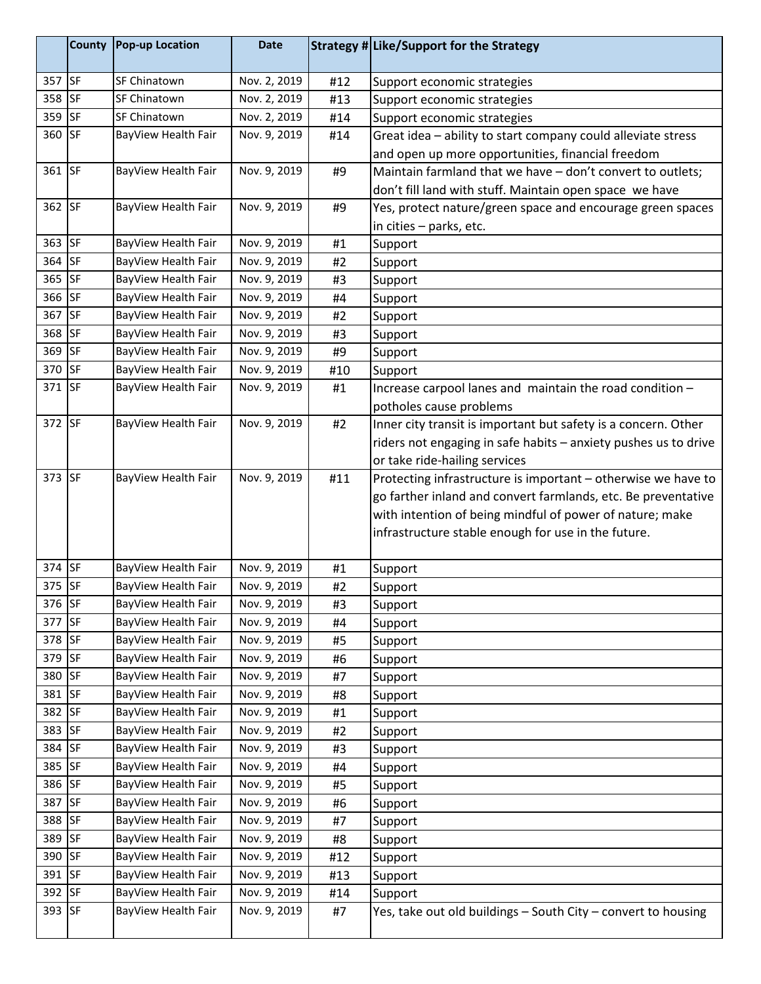|                  | County    | <b>Pop-up Location</b>                     | <b>Date</b>                  |          | Strategy # Like/Support for the Strategy                        |
|------------------|-----------|--------------------------------------------|------------------------------|----------|-----------------------------------------------------------------|
| 357 SF           |           | SF Chinatown                               | Nov. 2, 2019                 | #12      | Support economic strategies                                     |
| 358 SF           |           | SF Chinatown                               | Nov. 2, 2019                 | #13      | Support economic strategies                                     |
| 359 SF           |           | SF Chinatown                               | Nov. 2, 2019                 | #14      | Support economic strategies                                     |
| 360 SF           |           | BayView Health Fair                        | Nov. 9, 2019                 | #14      | Great idea - ability to start company could alleviate stress    |
|                  |           |                                            |                              |          | and open up more opportunities, financial freedom               |
| 361 SF           |           | BayView Health Fair                        | Nov. 9, 2019                 | #9       | Maintain farmland that we have - don't convert to outlets;      |
|                  |           |                                            |                              |          | don't fill land with stuff. Maintain open space we have         |
| 362 SF           |           | BayView Health Fair                        | Nov. 9, 2019                 | #9       | Yes, protect nature/green space and encourage green spaces      |
|                  |           |                                            |                              |          | in cities - parks, etc.                                         |
| 363 SF           |           | BayView Health Fair                        | Nov. 9, 2019                 | #1       | Support                                                         |
| 364              | <b>SF</b> | BayView Health Fair                        | Nov. 9, 2019                 | #2       | Support                                                         |
| 365              | <b>SF</b> | BayView Health Fair                        | Nov. 9, 2019                 | #3       | Support                                                         |
| 366 SF           |           | BayView Health Fair                        | Nov. 9, 2019                 | #4       | Support                                                         |
| 367 SF           |           | BayView Health Fair                        | Nov. 9, 2019                 | #2       | Support                                                         |
| 368 SF           |           | BayView Health Fair                        | Nov. 9, 2019                 | #3       | Support                                                         |
| 369 SF           |           | BayView Health Fair                        | Nov. 9, 2019                 | #9       | Support                                                         |
| 370 SF           |           | BayView Health Fair                        | Nov. 9, 2019                 | #10      | Support                                                         |
| 371 SF           |           | BayView Health Fair                        | Nov. 9, 2019                 | #1       | Increase carpool lanes and maintain the road condition -        |
|                  |           |                                            |                              |          | potholes cause problems                                         |
| 372 SF           |           | BayView Health Fair                        | Nov. 9, 2019                 | #2       | Inner city transit is important but safety is a concern. Other  |
|                  |           |                                            |                              |          | riders not engaging in safe habits - anxiety pushes us to drive |
|                  |           |                                            |                              |          | or take ride-hailing services                                   |
| 373 SF           |           | BayView Health Fair                        | Nov. 9, 2019                 | #11      | Protecting infrastructure is important - otherwise we have to   |
|                  |           |                                            |                              |          | go farther inland and convert farmlands, etc. Be preventative   |
|                  |           |                                            |                              |          | with intention of being mindful of power of nature; make        |
|                  |           |                                            |                              |          | infrastructure stable enough for use in the future.             |
|                  |           |                                            |                              |          |                                                                 |
| 374 SF           |           | BayView Health Fair                        | Nov. 9, 2019                 | #1       | Support                                                         |
| 375 SF           |           | BayView Health Fair                        | Nov. 9, 2019                 | #2       | Support                                                         |
| 376 SF           |           | BayView Health Fair                        | Nov. 9, 2019                 | #3       | Support                                                         |
| 377              | <b>SF</b> | BayView Health Fair                        | Nov. 9, 2019                 | #4       | Support                                                         |
| 378 SF           |           | BayView Health Fair                        | Nov. 9, 2019                 | #5       | Support                                                         |
| 379 SF           |           | BayView Health Fair                        | Nov. 9, 2019                 | #6       | Support                                                         |
| 380 SF           |           | BayView Health Fair                        | Nov. 9, 2019                 | #7       | Support                                                         |
| 381 SF           |           | BayView Health Fair                        | Nov. 9, 2019                 | #8       | Support                                                         |
| 382 SF           |           | BayView Health Fair                        | Nov. 9, 2019                 | #1       | Support                                                         |
| 383 SF<br>384 SF |           | BayView Health Fair                        | Nov. 9, 2019                 | #2       | Support                                                         |
| 385 SF           |           | BayView Health Fair<br>BayView Health Fair | Nov. 9, 2019<br>Nov. 9, 2019 | #3       | Support                                                         |
| 386 SF           |           | BayView Health Fair                        | Nov. 9, 2019                 | #4<br>#5 | Support                                                         |
| 387 SF           |           | BayView Health Fair                        | Nov. 9, 2019                 |          | Support                                                         |
| 388 SF           |           | BayView Health Fair                        | Nov. 9, 2019                 | #6<br>#7 | Support                                                         |
| 389 SF           |           | BayView Health Fair                        | Nov. 9, 2019                 | #8       | Support                                                         |
| 390 SF           |           | BayView Health Fair                        | Nov. 9, 2019                 | #12      | Support                                                         |
| 391 SF           |           | BayView Health Fair                        | Nov. 9, 2019                 | #13      | Support<br>Support                                              |
| 392 SF           |           | BayView Health Fair                        | Nov. 9, 2019                 | #14      | Support                                                         |
| 393 SF           |           | BayView Health Fair                        | Nov. 9, 2019                 | #7       | Yes, take out old buildings - South City - convert to housing   |
|                  |           |                                            |                              |          |                                                                 |
|                  |           |                                            |                              |          |                                                                 |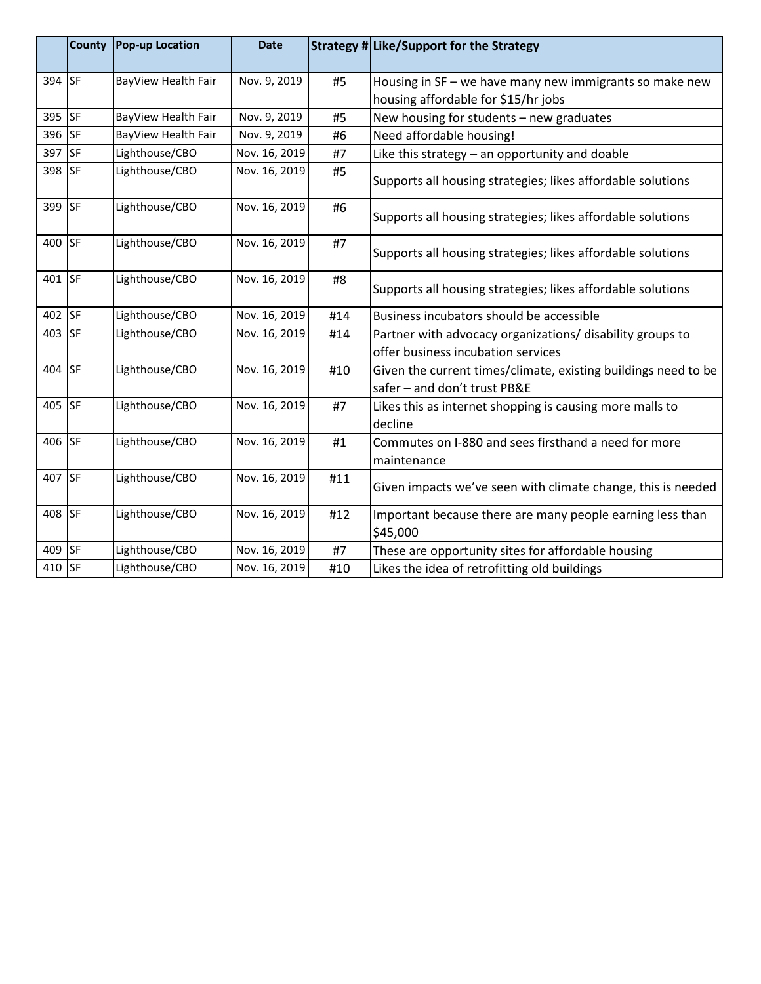|        | <b>County</b> | <b>Pop-up Location</b> | <b>Date</b>   |     | Strategy # Like/Support for the Strategy                              |
|--------|---------------|------------------------|---------------|-----|-----------------------------------------------------------------------|
| 394 SF |               | BayView Health Fair    | Nov. 9, 2019  | #5  | Housing in SF - we have many new immigrants so make new               |
|        |               |                        |               |     | housing affordable for \$15/hr jobs                                   |
| 395 SF |               | BayView Health Fair    | Nov. 9, 2019  | #5  | New housing for students - new graduates                              |
| 396 SF |               | BayView Health Fair    | Nov. 9, 2019  | #6  | Need affordable housing!                                              |
| 397 SF |               | Lighthouse/CBO         | Nov. 16, 2019 | #7  | Like this strategy - an opportunity and doable                        |
| 398 SF |               | Lighthouse/CBO         | Nov. 16, 2019 | #5  | Supports all housing strategies; likes affordable solutions           |
| 399 SF |               | Lighthouse/CBO         | Nov. 16, 2019 | #6  | Supports all housing strategies; likes affordable solutions           |
| 400 SF |               | Lighthouse/CBO         | Nov. 16, 2019 | #7  | Supports all housing strategies; likes affordable solutions           |
| 401 SF |               | Lighthouse/CBO         | Nov. 16, 2019 | #8  | Supports all housing strategies; likes affordable solutions           |
| 402 SF |               | Lighthouse/CBO         | Nov. 16, 2019 | #14 | Business incubators should be accessible                              |
| 403 SF |               | Lighthouse/CBO         | Nov. 16, 2019 | #14 | Partner with advocacy organizations/ disability groups to             |
|        |               |                        |               |     | offer business incubation services                                    |
| 404 SF |               | Lighthouse/CBO         | Nov. 16, 2019 | #10 | Given the current times/climate, existing buildings need to be        |
|        |               |                        |               |     | safer - and don't trust PB&E                                          |
| 405 SF |               | Lighthouse/CBO         | Nov. 16, 2019 | #7  | Likes this as internet shopping is causing more malls to<br>decline   |
| 406 SF |               | Lighthouse/CBO         | Nov. 16, 2019 | #1  | Commutes on I-880 and sees firsthand a need for more                  |
| 407 SF |               |                        |               |     | maintenance                                                           |
|        |               | Lighthouse/CBO         | Nov. 16, 2019 | #11 | Given impacts we've seen with climate change, this is needed          |
| 408 SF |               | Lighthouse/CBO         | Nov. 16, 2019 | #12 | Important because there are many people earning less than<br>\$45,000 |
| 409 SF |               | Lighthouse/CBO         | Nov. 16, 2019 | #7  | These are opportunity sites for affordable housing                    |
| 410 SF |               | Lighthouse/CBO         | Nov. 16, 2019 | #10 | Likes the idea of retrofitting old buildings                          |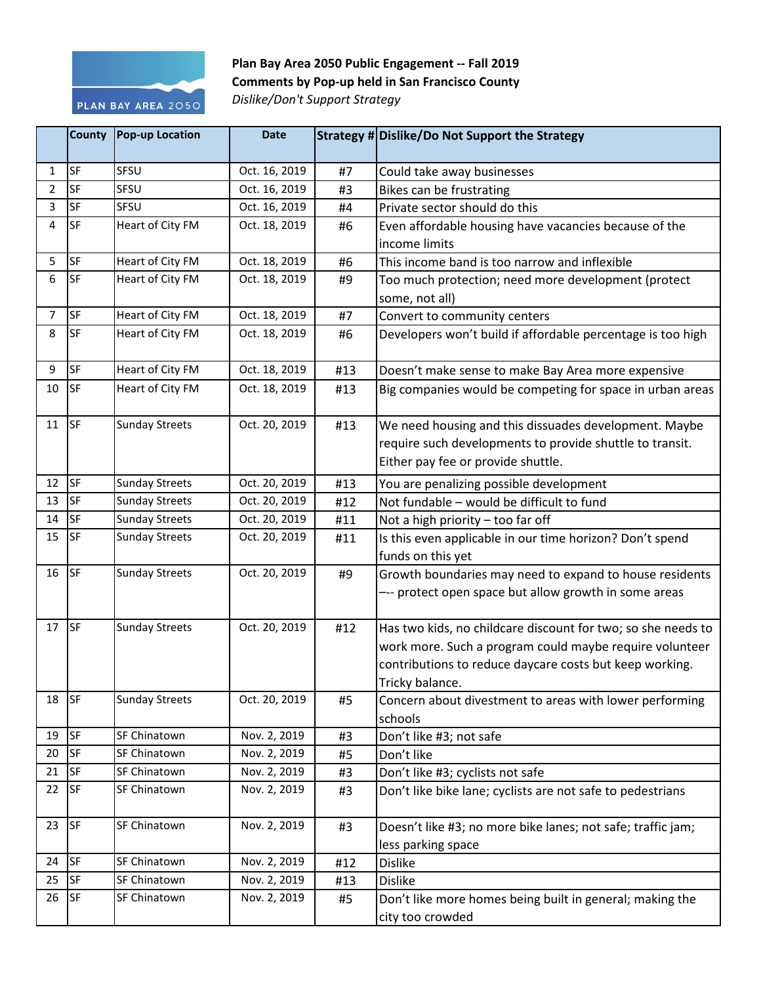

**Plan Bay Area 2050 Public Engagement -- Fall 2019 Comments by Pop-up held in San Francisco County** *Dislike/Don't Support Strategy*

|              | <b>County</b> | <b>Pop-up Location</b> | <b>Date</b>   |     | Strategy # Dislike/Do Not Support the Strategy               |
|--------------|---------------|------------------------|---------------|-----|--------------------------------------------------------------|
| $\mathbf{1}$ | SF            | SFSU                   | Oct. 16, 2019 | #7  | Could take away businesses                                   |
| 2            | <b>SF</b>     | SFSU                   | Oct. 16, 2019 | #3  | Bikes can be frustrating                                     |
| 3            | <b>SF</b>     | SFSU                   | Oct. 16, 2019 | #4  | Private sector should do this                                |
| 4            | SF            | Heart of City FM       | Oct. 18, 2019 | #6  | Even affordable housing have vacancies because of the        |
|              |               |                        |               |     | income limits                                                |
| 5            | SF            | Heart of City FM       | Oct. 18, 2019 | #6  | This income band is too narrow and inflexible                |
| 6            | SF            | Heart of City FM       | Oct. 18, 2019 | #9  | Too much protection; need more development (protect          |
|              |               |                        |               |     | some, not all)                                               |
| 7            | SF            | Heart of City FM       | Oct. 18, 2019 | #7  | Convert to community centers                                 |
| 8            | <b>SF</b>     | Heart of City FM       | Oct. 18, 2019 | #6  | Developers won't build if affordable percentage is too high  |
|              |               |                        |               |     |                                                              |
| 9            | SF            | Heart of City FM       | Oct. 18, 2019 | #13 | Doesn't make sense to make Bay Area more expensive           |
| 10           | <b>SF</b>     | Heart of City FM       | Oct. 18, 2019 | #13 | Big companies would be competing for space in urban areas    |
|              |               |                        |               |     |                                                              |
| 11           | <b>SF</b>     | <b>Sunday Streets</b>  | Oct. 20, 2019 | #13 | We need housing and this dissuades development. Maybe        |
|              |               |                        |               |     | require such developments to provide shuttle to transit.     |
|              |               |                        |               |     | Either pay fee or provide shuttle.                           |
| 12           | <b>SF</b>     | <b>Sunday Streets</b>  | Oct. 20, 2019 | #13 | You are penalizing possible development                      |
| 13           | <b>SF</b>     | <b>Sunday Streets</b>  | Oct. 20, 2019 | #12 | Not fundable - would be difficult to fund                    |
| 14           | SF            | <b>Sunday Streets</b>  | Oct. 20, 2019 | #11 | Not a high priority - too far off                            |
| 15           | <b>SF</b>     | <b>Sunday Streets</b>  | Oct. 20, 2019 | #11 | Is this even applicable in our time horizon? Don't spend     |
|              |               |                        |               |     | funds on this yet                                            |
| 16           | <b>SF</b>     | <b>Sunday Streets</b>  | Oct. 20, 2019 | #9  | Growth boundaries may need to expand to house residents      |
|              |               |                        |               |     | --- protect open space but allow growth in some areas        |
|              |               |                        |               |     |                                                              |
| $17$ SF      |               | <b>Sunday Streets</b>  | Oct. 20, 2019 | #12 | Has two kids, no childcare discount for two; so she needs to |
|              |               |                        |               |     | work more. Such a program could maybe require volunteer      |
|              |               |                        |               |     | contributions to reduce daycare costs but keep working.      |
|              |               |                        |               |     | Tricky balance.                                              |
| 18           | <b>SF</b>     | <b>Sunday Streets</b>  | Oct. 20, 2019 | #5  | Concern about divestment to areas with lower performing      |
|              |               |                        |               |     | schools                                                      |
| 19           | <b>SF</b>     | SF Chinatown           | Nov. 2, 2019  | #3  | Don't like #3; not safe                                      |
| 20           | <b>SF</b>     | SF Chinatown           | Nov. 2, 2019  | #5  | Don't like                                                   |
| 21           | <b>SF</b>     | SF Chinatown           | Nov. 2, 2019  | #3  | Don't like #3; cyclists not safe                             |
| 22           | <b>SF</b>     | SF Chinatown           | Nov. 2, 2019  | #3  | Don't like bike lane; cyclists are not safe to pedestrians   |
|              |               |                        |               |     |                                                              |
| 23           | <b>SF</b>     | SF Chinatown           | Nov. 2, 2019  | #3  | Doesn't like #3; no more bike lanes; not safe; traffic jam;  |
|              |               |                        |               |     | less parking space                                           |
| 24           | <b>SF</b>     | SF Chinatown           | Nov. 2, 2019  | #12 | <b>Dislike</b>                                               |
| 25           | <b>SF</b>     | SF Chinatown           | Nov. 2, 2019  | #13 | <b>Dislike</b>                                               |
| 26           | <b>SF</b>     | SF Chinatown           | Nov. 2, 2019  | #5  | Don't like more homes being built in general; making the     |
|              |               |                        |               |     | city too crowded                                             |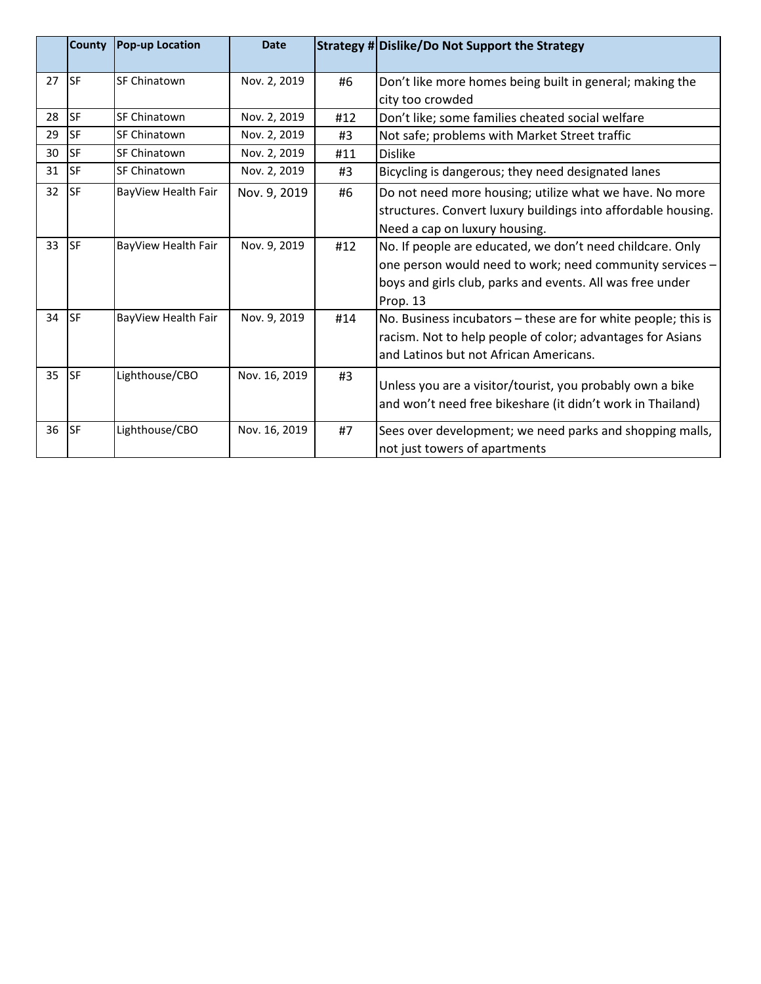|    | County      | <b>Pop-up Location</b> | <b>Date</b>   |     | Strategy # Dislike/Do Not Support the Strategy                |
|----|-------------|------------------------|---------------|-----|---------------------------------------------------------------|
| 27 | <b>ISF</b>  | <b>SF Chinatown</b>    | Nov. 2, 2019  | #6  | Don't like more homes being built in general; making the      |
|    |             |                        |               |     | city too crowded                                              |
| 28 | <b>SF</b>   | SF Chinatown           | Nov. 2, 2019  | #12 | Don't like; some families cheated social welfare              |
| 29 | lsf         | SF Chinatown           | Nov. 2, 2019  | #3  | Not safe; problems with Market Street traffic                 |
| 30 | <b>ISF</b>  | SF Chinatown           | Nov. 2, 2019  | #11 | <b>Dislike</b>                                                |
| 31 | <b>I</b> SF | <b>SF Chinatown</b>    | Nov. 2, 2019  | #3  | Bicycling is dangerous; they need designated lanes            |
| 32 | <b>ISF</b>  | BayView Health Fair    | Nov. 9, 2019  | #6  | Do not need more housing; utilize what we have. No more       |
|    |             |                        |               |     | structures. Convert luxury buildings into affordable housing. |
|    |             |                        |               |     | Need a cap on luxury housing.                                 |
| 33 | <b>ISF</b>  | BayView Health Fair    | Nov. 9, 2019  | #12 | No. If people are educated, we don't need childcare. Only     |
|    |             |                        |               |     | one person would need to work; need community services -      |
|    |             |                        |               |     | boys and girls club, parks and events. All was free under     |
|    |             |                        |               |     | Prop. 13                                                      |
| 34 | <b>I</b> SF | BayView Health Fair    | Nov. 9, 2019  | #14 | No. Business incubators - these are for white people; this is |
|    |             |                        |               |     | racism. Not to help people of color; advantages for Asians    |
|    |             |                        |               |     | and Latinos but not African Americans.                        |
| 35 | lsf.        | Lighthouse/CBO         | Nov. 16, 2019 | #3  |                                                               |
|    |             |                        |               |     | Unless you are a visitor/tourist, you probably own a bike     |
|    |             |                        |               |     | and won't need free bikeshare (it didn't work in Thailand)    |
| 36 | <b>I</b> SF | Lighthouse/CBO         | Nov. 16, 2019 | #7  | Sees over development; we need parks and shopping malls,      |
|    |             |                        |               |     | not just towers of apartments                                 |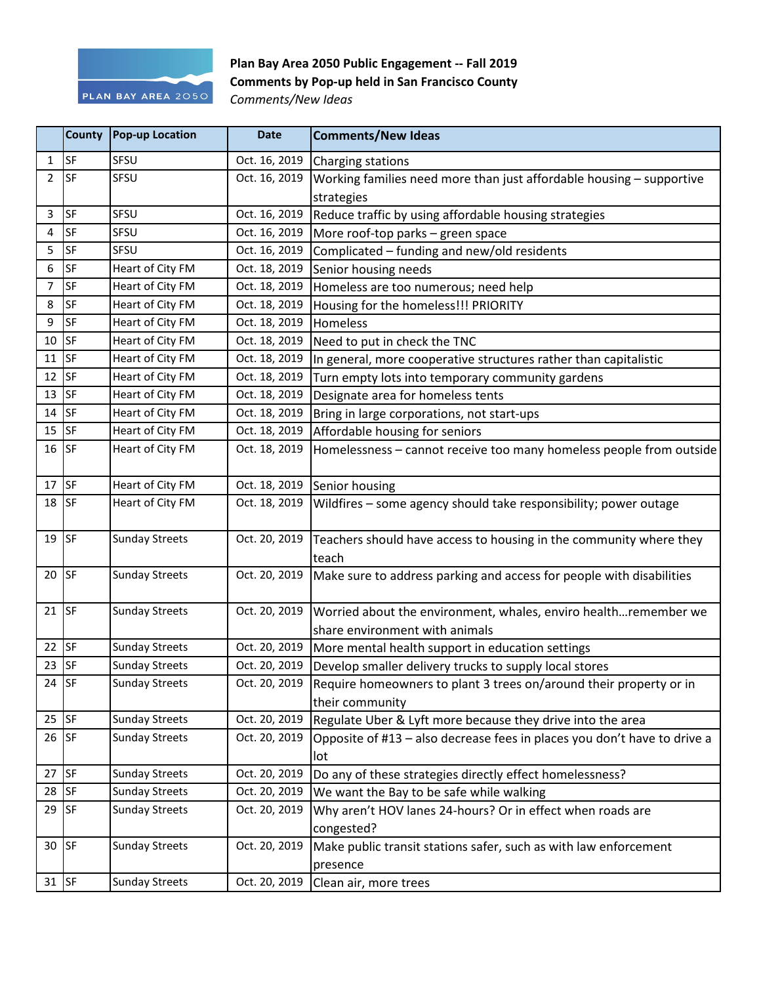

## **Plan Bay Area 2050 Public Engagement -- Fall 2019 Comments by Pop-up held in San Francisco County**

*Comments/New Ideas*

|                | County    | Pop-up Location       | <b>Date</b>   | <b>Comments/New Ideas</b>                                                                           |
|----------------|-----------|-----------------------|---------------|-----------------------------------------------------------------------------------------------------|
| $\mathbf{1}$   | <b>SF</b> | SFSU                  | Oct. 16, 2019 | Charging stations                                                                                   |
| $\overline{2}$ | <b>SF</b> | SFSU                  | Oct. 16, 2019 | Working families need more than just affordable housing - supportive                                |
|                |           |                       |               | strategies                                                                                          |
| 3              | <b>SF</b> | SFSU                  | Oct. 16, 2019 | Reduce traffic by using affordable housing strategies                                               |
| 4              | <b>SF</b> | SFSU                  | Oct. 16, 2019 | More roof-top parks - green space                                                                   |
| 5              | <b>SF</b> | SFSU                  | Oct. 16, 2019 | Complicated - funding and new/old residents                                                         |
| 6              | <b>SF</b> | Heart of City FM      | Oct. 18, 2019 | Senior housing needs                                                                                |
| 7              | SF        | Heart of City FM      | Oct. 18, 2019 | Homeless are too numerous; need help                                                                |
| 8              | <b>SF</b> | Heart of City FM      | Oct. 18, 2019 | Housing for the homeless!!! PRIORITY                                                                |
| 9              | <b>SF</b> | Heart of City FM      | Oct. 18, 2019 | Homeless                                                                                            |
| 10             | <b>SF</b> | Heart of City FM      | Oct. 18, 2019 | Need to put in check the TNC                                                                        |
| 11             | <b>SF</b> | Heart of City FM      | Oct. 18, 2019 | In general, more cooperative structures rather than capitalistic                                    |
| 12             | <b>SF</b> | Heart of City FM      | Oct. 18, 2019 | Turn empty lots into temporary community gardens                                                    |
| 13             | <b>SF</b> | Heart of City FM      | Oct. 18, 2019 | Designate area for homeless tents                                                                   |
| 14             | <b>SF</b> | Heart of City FM      | Oct. 18, 2019 | Bring in large corporations, not start-ups                                                          |
| 15             | SF        | Heart of City FM      | Oct. 18, 2019 | Affordable housing for seniors                                                                      |
| $16$ SF        |           | Heart of City FM      | Oct. 18, 2019 | Homelessness - cannot receive too many homeless people from outside                                 |
| 17             | <b>SF</b> | Heart of City FM      |               | Oct. 18, 2019 Senior housing                                                                        |
| 18             | <b>SF</b> | Heart of City FM      | Oct. 18, 2019 | Wildfires - some agency should take responsibility; power outage                                    |
| 19             | <b>SF</b> | <b>Sunday Streets</b> | Oct. 20, 2019 | Teachers should have access to housing in the community where they<br>teach                         |
| $20$ SF        |           | <b>Sunday Streets</b> | Oct. 20, 2019 | Make sure to address parking and access for people with disabilities                                |
| 21 $ SF$       |           | <b>Sunday Streets</b> | Oct. 20, 2019 | Worried about the environment, whales, enviro healthremember we<br>share environment with animals   |
| 22             | <b>SF</b> | <b>Sunday Streets</b> | Oct. 20, 2019 | More mental health support in education settings                                                    |
| 23             | SF        | <b>Sunday Streets</b> | Oct. 20, 2019 | Develop smaller delivery trucks to supply local stores                                              |
| 24             | SF        | <b>Sunday Streets</b> |               | Oct. 20, 2019 Require homeowners to plant 3 trees on/around their property or in<br>their community |
| $25$ SF        |           | <b>Sunday Streets</b> | Oct. 20, 2019 | Regulate Uber & Lyft more because they drive into the area                                          |
| $26$ SF        |           | <b>Sunday Streets</b> | Oct. 20, 2019 | Opposite of #13 - also decrease fees in places you don't have to drive a<br>lot                     |
| 27             | SF        | <b>Sunday Streets</b> | Oct. 20, 2019 | Do any of these strategies directly effect homelessness?                                            |
| 28             | SF        | <b>Sunday Streets</b> | Oct. 20, 2019 | We want the Bay to be safe while walking                                                            |
| 29             | <b>SF</b> | <b>Sunday Streets</b> | Oct. 20, 2019 | Why aren't HOV lanes 24-hours? Or in effect when roads are<br>congested?                            |
| $30$ SF        |           | <b>Sunday Streets</b> | Oct. 20, 2019 | Make public transit stations safer, such as with law enforcement<br>presence                        |
| $31$ SF        |           | <b>Sunday Streets</b> | Oct. 20, 2019 | Clean air, more trees                                                                               |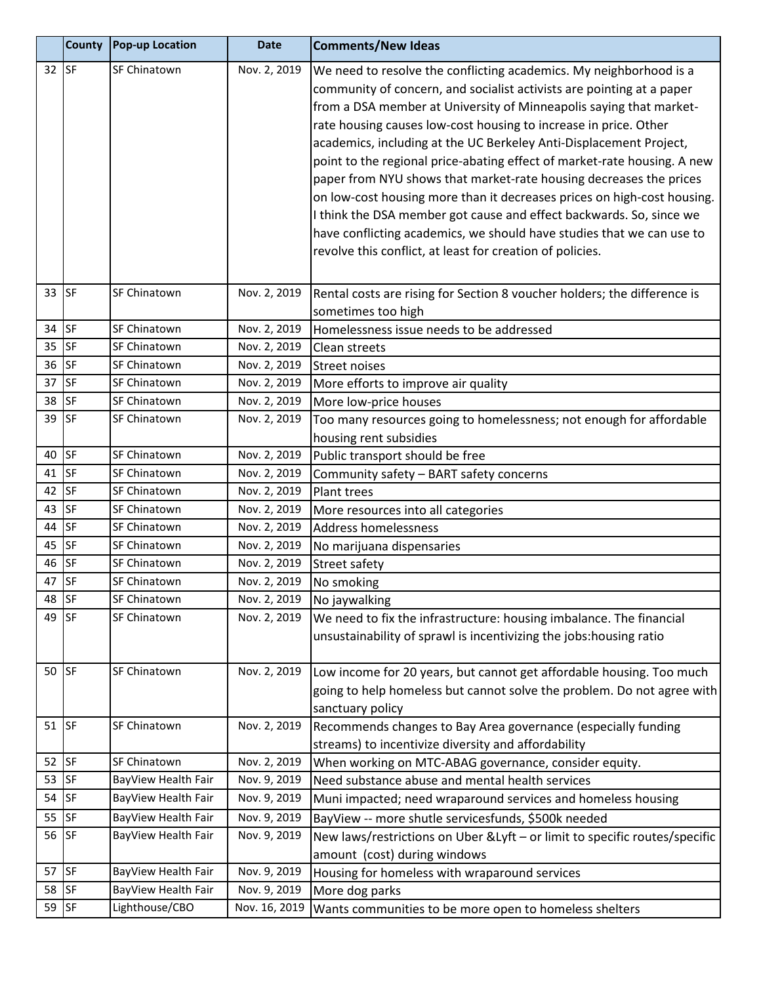|         | <b>County</b> | <b>Pop-up Location</b> | <b>Date</b>   | <b>Comments/New Ideas</b>                                                                                |
|---------|---------------|------------------------|---------------|----------------------------------------------------------------------------------------------------------|
| $32$ SF |               | SF Chinatown           | Nov. 2, 2019  | We need to resolve the conflicting academics. My neighborhood is a                                       |
|         |               |                        |               | community of concern, and socialist activists are pointing at a paper                                    |
|         |               |                        |               | from a DSA member at University of Minneapolis saying that market-                                       |
|         |               |                        |               | rate housing causes low-cost housing to increase in price. Other                                         |
|         |               |                        |               | academics, including at the UC Berkeley Anti-Displacement Project,                                       |
|         |               |                        |               | point to the regional price-abating effect of market-rate housing. A new                                 |
|         |               |                        |               | paper from NYU shows that market-rate housing decreases the prices                                       |
|         |               |                        |               | on low-cost housing more than it decreases prices on high-cost housing.                                  |
|         |               |                        |               | I think the DSA member got cause and effect backwards. So, since we                                      |
|         |               |                        |               | have conflicting academics, we should have studies that we can use to                                    |
|         |               |                        |               | revolve this conflict, at least for creation of policies.                                                |
|         |               |                        |               |                                                                                                          |
| 33      | <b>SF</b>     | SF Chinatown           | Nov. 2, 2019  | Rental costs are rising for Section 8 voucher holders; the difference is                                 |
|         |               |                        |               | sometimes too high                                                                                       |
| 34      | <b>SF</b>     | SF Chinatown           | Nov. 2, 2019  | Homelessness issue needs to be addressed                                                                 |
| 35      | <b>SF</b>     | SF Chinatown           | Nov. 2, 2019  | Clean streets                                                                                            |
| 36      | SF            | SF Chinatown           | Nov. 2, 2019  | <b>Street noises</b>                                                                                     |
| 37      | <b>SF</b>     | SF Chinatown           | Nov. 2, 2019  | More efforts to improve air quality                                                                      |
| 38      | <b>SF</b>     | SF Chinatown           | Nov. 2, 2019  | More low-price houses                                                                                    |
| 39      | <b>SF</b>     | SF Chinatown           | Nov. 2, 2019  | Too many resources going to homelessness; not enough for affordable                                      |
|         |               |                        |               | housing rent subsidies                                                                                   |
| 40      | <b>SF</b>     | SF Chinatown           | Nov. 2, 2019  | Public transport should be free                                                                          |
| 41      | <b>SF</b>     | SF Chinatown           | Nov. 2, 2019  | Community safety - BART safety concerns                                                                  |
| 42      | <b>SF</b>     | SF Chinatown           | Nov. 2, 2019  | <b>Plant trees</b>                                                                                       |
| 43      | <b>SF</b>     | SF Chinatown           | Nov. 2, 2019  | More resources into all categories                                                                       |
| 44      | <b>SF</b>     | SF Chinatown           | Nov. 2, 2019  | <b>Address homelessness</b>                                                                              |
| 45      | <b>SF</b>     | SF Chinatown           | Nov. 2, 2019  | No marijuana dispensaries                                                                                |
| 46      | <b>SF</b>     | <b>SF Chinatown</b>    | Nov. 2, 2019  | <b>Street safety</b>                                                                                     |
| 47      | <b>SF</b>     | SF Chinatown           | Nov. 2, 2019  | No smoking                                                                                               |
| 48 SF   |               | SF Chinatown           | Nov. 2, 2019  | No jaywalking                                                                                            |
| 49      | <b>SF</b>     | SF Chinatown           | Nov. 2, 2019  | We need to fix the infrastructure: housing imbalance. The financial                                      |
|         |               |                        |               | unsustainability of sprawl is incentivizing the jobs: housing ratio                                      |
|         |               |                        |               |                                                                                                          |
| 50      | <b>SF</b>     | SF Chinatown           | Nov. 2, 2019  | Low income for 20 years, but cannot get affordable housing. Too much                                     |
|         |               |                        |               | going to help homeless but cannot solve the problem. Do not agree with                                   |
| $51$ SF |               |                        |               | sanctuary policy                                                                                         |
|         |               | SF Chinatown           | Nov. 2, 2019  | Recommends changes to Bay Area governance (especially funding                                            |
| 52      | <b>SF</b>     | SF Chinatown           | Nov. 2, 2019  | streams) to incentivize diversity and affordability                                                      |
| 53      | <b>SF</b>     | BayView Health Fair    | Nov. 9, 2019  | When working on MTC-ABAG governance, consider equity.<br>Need substance abuse and mental health services |
| 54      | <b>SF</b>     | BayView Health Fair    | Nov. 9, 2019  | Muni impacted; need wraparound services and homeless housing                                             |
| 55      | <b>SF</b>     | BayView Health Fair    | Nov. 9, 2019  | BayView -- more shutle servicesfunds, \$500k needed                                                      |
| 56      | <b>SF</b>     | BayView Health Fair    | Nov. 9, 2019  | New laws/restrictions on Uber & Lyft - or limit to specific routes/specific                              |
|         |               |                        |               | amount (cost) during windows                                                                             |
| 57      | <b>SF</b>     | BayView Health Fair    | Nov. 9, 2019  | Housing for homeless with wraparound services                                                            |
| 58      | <b>SF</b>     | BayView Health Fair    | Nov. 9, 2019  | More dog parks                                                                                           |
| 59      | <b>SF</b>     | Lighthouse/CBO         | Nov. 16, 2019 | Wants communities to be more open to homeless shelters                                                   |
|         |               |                        |               |                                                                                                          |